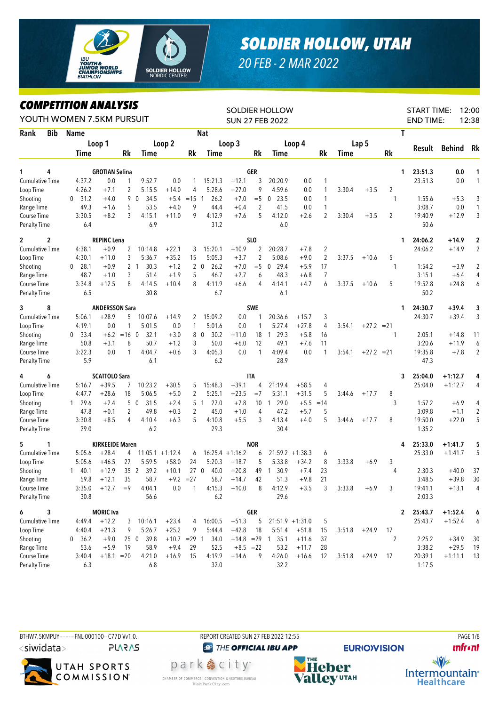

## *SOLDIER HOLLOW, UTAH*

*20 FEB - 2 MAR 2022*

## *COMPETITION ANALYSIS*

|                        |             | LUMPEIIIIUN ANALISIS<br>YOUTH WOMEN 7.5KM PURSUIT |                        |                 | <b>SOLDIER HOLLOW</b><br><b>SUN 27 FEB 2022</b> |                |                |                    |             |                |                      |                    |                |             | 12:00<br><b>START TIME:</b><br><b>END TIME:</b><br>12:38 |                |              |           |                |
|------------------------|-------------|---------------------------------------------------|------------------------|-----------------|-------------------------------------------------|----------------|----------------|--------------------|-------------|----------------|----------------------|--------------------|----------------|-------------|----------------------------------------------------------|----------------|--------------|-----------|----------------|
| Rank                   | <b>Bib</b>  | Name                                              |                        |                 |                                                 |                |                | <b>Nat</b>         |             |                |                      |                    |                |             |                                                          |                | T            |           |                |
|                        |             |                                                   | Loop 1                 |                 |                                                 | Loop 2         |                |                    | Loop 3      |                |                      | Loop 4             |                |             | Lap <sub>5</sub>                                         |                |              |           |                |
|                        |             | Time                                              |                        | Rk              | Time                                            |                | Rk             | Time               |             | Rk             | Time                 |                    | Rk             | <b>Time</b> |                                                          | <b>Rk</b>      | Result       | Behind    | Rk             |
|                        |             |                                                   |                        |                 |                                                 |                |                |                    |             |                |                      |                    |                |             |                                                          |                |              |           |                |
| 1                      | 4           |                                                   | <b>GROTIAN Selina</b>  |                 |                                                 |                |                |                    |             | GER            |                      |                    |                |             |                                                          |                | 23:51.3<br>1 | 0.0       | 1              |
| <b>Cumulative Time</b> |             | 4:37.2                                            | 0.0                    | 1               | 9:52.7                                          | 0.0            | 1              | 15:21.3            | $+12.1$     | 3              | 20:20.9              | 0.0                | 1              |             |                                                          |                | 23:51.3      | 0.0       | 1              |
| Loop Time              |             | 4:26.2                                            | $+7.1$                 | $\overline{c}$  | 5:15.5                                          | $+14.0$        | 4              | 5:28.6             | $+27.0$     | 9              | 4:59.6               | 0.0                | 1              | 3:30.4      | $+3.5$                                                   | 2              |              |           |                |
| Shooting               |             | 31.2<br>0                                         | $+4.0$                 |                 | 9 0<br>34.5                                     | $+5.4$         | $=15$ 1        | 26.2               | $+7.0$      | $=$ 5          | 23.5<br>$\mathbf{0}$ | 0.0                | 1              |             |                                                          | $\mathbf{1}$   | 1:55.6       | $+5.3$    | 3              |
| Range Time             |             | 49.3                                              | $+1.6$                 | 5               | 53.5                                            | $+4.0$         | 9              | 44.4               | $+0.4$      | $\overline{2}$ | 41.5                 | 0.0                | 1              |             |                                                          |                | 3:08.7       | 0.0       | $\mathbf{1}$   |
| Course Time            |             | 3:30.5                                            | $+8.2$                 | 3               | 4:15.1                                          | $+11.0$        | 9              | 4:12.9             | $+7.6$      | 5              | 4:12.0               | $+2.6$             | $\overline{2}$ | 3:30.4      | $+3.5$                                                   | $\overline{2}$ | 19:40.9      | $+12.9$   | 3              |
| <b>Penalty Time</b>    |             | 6.4                                               |                        |                 | 6.9                                             |                |                | 31.2               |             |                | 6.0                  |                    |                |             |                                                          |                | 50.6         |           |                |
| $\mathbf{2}$           | $\mathbf 2$ |                                                   | <b>REPINC Lena</b>     |                 |                                                 |                |                |                    |             | SLO            |                      |                    |                |             |                                                          |                | 24:06.2<br>1 | $+14.9$   | $\mathbf 2$    |
| <b>Cumulative Time</b> |             | 4:38.1                                            | $+0.9$                 | 2               | 10:14.8                                         | $+22.1$        | 3              | 15:20.1            | $+10.9$     | 2              | 20:28.7              | $+7.8$             | $\overline{2}$ |             |                                                          |                | 24:06.2      | $+14.9$   | $\overline{2}$ |
| Loop Time              |             | 4:30.1                                            | $+11.0$                | 3               | 5:36.7                                          | $+35.2$        | 15             | 5:05.3             | $+3.7$      | $\overline{2}$ | 5:08.6               | $+9.0$             | $\overline{2}$ | 3:37.5      | $+10.6$                                                  | 5              |              |           |                |
| Shooting               |             | 28.1<br>$\mathbf{0}$                              | $+0.9$                 |                 | 30.3<br>21                                      | $+1.2$         |                | $2\quad 0$<br>26.2 | $+7.0$      | $=$ 5          | 29.4<br>0            | $+5.9$             | 17             |             |                                                          | $\mathbf{1}$   | 1:54.2       | $+3.9$    | $\overline{2}$ |
| Range Time             |             | 48.7                                              | $+1.0$                 | 3               | 51.4                                            | $+1.9$         | 5              | 46.7               | $+2.7$      | 6              | 48.3                 | $+6.8$             | $\overline{7}$ |             |                                                          |                | 3:15.1       | $+6.4$    | 4              |
| Course Time            |             | 3:34.8                                            | $+12.5$                | 8               | 4:14.5                                          | $+10.4$        | 8              | 4:11.9             | $+6.6$      | 4              | 4:14.1               | $+4.7$             | 6              | 3:37.5      | $+10.6$                                                  | 5              | 19:52.8      | $+24.8$   | 6              |
| <b>Penalty Time</b>    |             | 6.5                                               |                        |                 | 30.8                                            |                |                | 6.7                |             |                | 6.1                  |                    |                |             |                                                          |                | 50.2         |           |                |
| 3                      | 8           |                                                   | <b>ANDERSSON Sara</b>  |                 |                                                 |                |                |                    |             | SWE            |                      |                    |                |             |                                                          |                | 24:30.7<br>1 | $+39.4$   |                |
| <b>Cumulative Time</b> |             | 5:06.1                                            | $+28.9$                | 5               | 10:07.6                                         | $+14.9$        |                | 15:09.2            | 0.0         |                | 20:36.6              | $+15.7$            |                |             |                                                          |                | 24:30.7      | $+39.4$   | 3<br>3         |
| Loop Time              |             | 4:19.1                                            | 0.0                    | 1               | 5:01.5                                          | 0.0            | 2<br>1         | 5:01.6             | 0.0         | 1              | 5:27.4               | $+27.8$            | 3<br>4         | 3:54.1      | $+27.2 = 21$                                             |                |              |           |                |
| Shooting               |             | 33.4<br>$\mathbf{0}$                              | $+6.2$                 | $=16$ 0         | 32.1                                            | $+3.0$         |                | 80<br>30.2         | $+11.0$     | 18             | 29.3<br>1            | $+5.8$             | 16             |             |                                                          | 1              | 2:05.1       | $+14.8$   | 11             |
| Range Time             |             | 50.8                                              | $+3.1$                 | 8               | 50.7                                            | $+1.2$         | 3              | 50.0               | $+6.0$      | 12             | 49.1                 | $+7.6$             | 11             |             |                                                          |                | 3:20.6       | $+11.9$   | 6              |
| Course Time            |             | 3:22.3                                            | 0.0                    | 1               | 4:04.7                                          | $+0.6$         | 3              | 4:05.3             | 0.0         | $\mathbf{1}$   | 4:09.4               | 0.0                | 1              | 3:54.1      | $+27.2 = 21$                                             |                | 19:35.8      | $+7.8$    | $\overline{2}$ |
| <b>Penalty Time</b>    |             | 5.9                                               |                        |                 | 6.1                                             |                |                | 6.2                |             |                | 28.9                 |                    |                |             |                                                          |                | 47.3         |           |                |
|                        |             |                                                   |                        |                 |                                                 |                |                |                    |             |                |                      |                    |                |             |                                                          |                |              |           |                |
| 4                      | 6           |                                                   | <b>SCATTOLO Sara</b>   |                 |                                                 |                |                |                    |             | <b>ITA</b>     |                      |                    |                |             |                                                          |                | 25:04.0<br>3 | +1:12.7   | 4              |
| <b>Cumulative Time</b> |             | 5:16.7                                            | $+39.5$                | 7               | 10:23.2                                         | $+30.5$        | 5              | 15:48.3            | $+39.1$     | 4              | 21:19.4              | $+58.5$            | 4              |             |                                                          |                | 25:04.0      | $+1:12.7$ | 4              |
| Loop Time              |             | 4:47.7                                            | $+28.6$                | 18              | 5:06.5                                          | $+5.0$         | $\overline{c}$ | 5:25.1             | $+23.5$     | $=7$           | 5:31.1               | $+31.5$            | 5              | 3:44.6      | $+17.7$                                                  | 8              |              |           |                |
| Shooting               |             | 29.6<br>$\mathbf{1}$                              | $+2.4$                 |                 | 50<br>31.5                                      | $+2.4$         | 5              | 27.0<br>-1         | $+7.8$      | 10             | 29.0<br>-1           | $+5.5$             | $=14$          |             |                                                          | 3              | 1:57.2       | $+6.9$    | 4              |
| Range Time             |             | 47.8                                              | $+0.1$                 | 2               | 49.8                                            | $+0.3$         | 2              | 45.0               | $+1.0$      | 4              | 47.2                 | $+5.7$             | 5              |             |                                                          |                | 3:09.8       | $+1.1$    | $\overline{2}$ |
| Course Time            |             | 3:30.8                                            | $+8.5$                 | 4               | 4:10.4                                          | $+6.3$         | 5              | 4:10.8             | $+5.5$      | 3              | 4:13.4               | $+4.0$             | 5              | 3:44.6      | $+17.7$                                                  | 8              | 19:50.0      | $+22.0$   | 5              |
| <b>Penalty Time</b>    |             | 29.0                                              |                        |                 | 6.2                                             |                |                | 29.3               |             |                | 30.4                 |                    |                |             |                                                          |                | 1:35.2       |           |                |
| 5                      | 1           |                                                   | <b>KIRKEEIDE Maren</b> |                 |                                                 |                |                |                    |             | <b>NOR</b>     |                      |                    |                |             |                                                          |                | 25:33.0<br>4 | +1:41.7   | 5              |
| <b>Cumulative Time</b> |             | 5:05.6                                            | $+28.4$                | 4               | $11:05.1 + 1:12.4$                              |                | 6              | $16:25.4 +1:16.2$  |             | 6              |                      | $21:59.2 + 1:38.3$ | 6              |             |                                                          |                | 25:33.0      | $+1:41.7$ | 5              |
| Loop Time              |             | 5:05.6                                            | $+46.5$                | 27              | 5:59.5                                          | $+58.0$        | 24             | 5:20.3             | $+18.7$     | 5              | 5:33.8               | $+34.2$            | 8              | 3:33.8      | $+6.9$                                                   | 3              |              |           |                |
| Shooting               |             | 40.1<br>$\mathbf{1}$                              | $+12.9$                | 35 <sub>2</sub> | 39.2                                            | $+10.1$        | 270            | 40.0               | $+20.8$     | 49             | 30.9<br>$\mathbf{1}$ | $+7.4$             | 23             |             |                                                          | 4              | 2:30.3       | $+40.0$   | 37             |
| Range Time             |             | 59.8                                              | $+12.1$                | 35              | 58.7                                            | $+9.2 = 27$    |                | 58.7               | $+14.7$     | 42             | 51.3                 | $+9.8$             | 21             |             |                                                          |                | 3:48.5       | $+39.8$   | 30             |
| Course Time            |             | 3:35.0                                            | $+12.7 = 9$            |                 | 4:04.1                                          | 0.0            | 1              | 4:15.3             | $+10.0$     | 8              | 4:12.9               | $+3.5$             | 3              | 3:33.8      | $+6.9$                                                   | 3              | 19:41.1      | $+13.1$   | 4              |
| <b>Penalty Time</b>    |             | 30.8                                              |                        |                 | 56.6                                            |                |                | 6.2                |             |                | 29.6                 |                    |                |             |                                                          |                | 2:03.3       |           |                |
| 6                      | 3           |                                                   | <b>MORIC</b> Iva       |                 |                                                 |                |                |                    |             | GER            |                      |                    |                |             |                                                          |                | 25:43.7<br>2 | $+1:52.4$ | 6              |
| Cumulative Time        |             | 4:49.4                                            | $+12.2$                | 3               | 10:16.1                                         | $+23.4$        | 4              | 16:00.5            | $+51.3$     | 5              |                      | $21:51.9 + 1:31.0$ | 5              |             |                                                          |                | 25:43.7      | $+1:52.4$ | 6              |
| Loop Time              |             | 4:40.4                                            | $+21.3$                | 9               | 5:26.7                                          | $+25.2$        | 9              | 5:44.4             | $+42.8$     | 18             | 5:51.4               | $+51.8$            | 15             | 3:51.8      | $+24.9$                                                  | 17             |              |           |                |
| Shooting               |             | 0 36.2                                            | $+9.0$                 |                 | 25 0 39.8                                       | $+10.7$ = 29 1 |                | 34.0               |             |                | $+14.8$ = 29 1 35.1  | $+11.6$            | 37             |             |                                                          | $\overline{2}$ | 2:25.2       | $+34.9$   | 30             |
| Range Time             |             | 53.6                                              | $+5.9$                 | 19              | 58.9                                            | $+9.4$         | 29             | 52.5               | $+8.5 = 22$ |                | 53.2                 | $+11.7$            | 28             |             |                                                          |                | 3:38.2       | $+29.5$   | 19             |
| Course Time            |             | 3:40.4                                            | $+18.1 = 20$           |                 | 4:21.0                                          | $+16.9$        | 15             | 4:19.9             | $+14.6$     | 9              | 4:26.0               | $+16.6$            | 12             |             | $3:51.8 +24.9$                                           | 17             | 20:39.1      | $+1:11.1$ | 13             |
| <b>Penalty Time</b>    |             | 6.3                                               |                        |                 | 6.8                                             |                |                | 32.0               |             |                | 32.2                 |                    |                |             |                                                          |                | 1:17.5       |           |                |





**@ THE OFFICIAL IBU APP** 

park 急 city<sup>®</sup>

CHAMBER OF COMMERCE | CONVENTION & VISITORS BUREAU Visit Park City.com



**unfront**  $\sqrt{v}$ Intermountain<sup>®</sup> **Healthcare**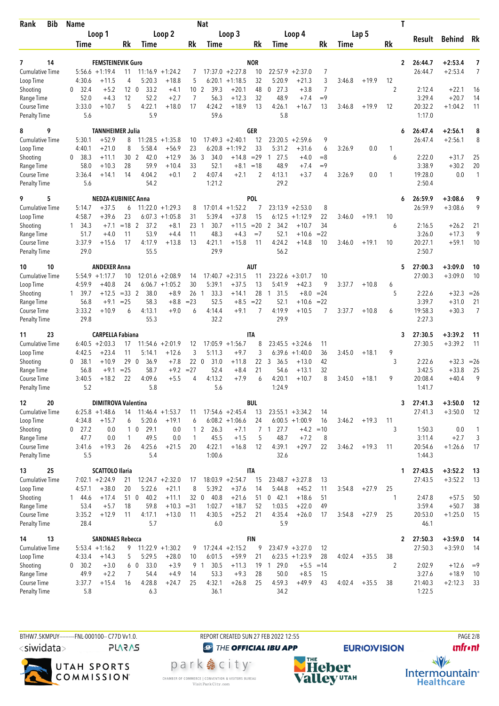| Bib<br>Rank                         | <b>Name</b>                                          |                                                              | <b>Nat</b>                      |                                                    |                                                       |                |                   | Т              |                   |                      |                |
|-------------------------------------|------------------------------------------------------|--------------------------------------------------------------|---------------------------------|----------------------------------------------------|-------------------------------------------------------|----------------|-------------------|----------------|-------------------|----------------------|----------------|
|                                     | Loop 1                                               | Loop 2                                                       |                                 | Loop 3                                             | Loop 4                                                |                | Lap 5             |                | Result            | Behind Rk            |                |
|                                     | Time                                                 | Rk<br><b>Time</b>                                            | Rk<br>Time                      | Rk                                                 | Time                                                  | Rk             | Time              | Rk             |                   |                      |                |
| 14<br>7                             |                                                      | <b>FEMSTEINEVIK Guro</b>                                     |                                 | <b>NOR</b>                                         |                                                       |                |                   | $\mathbf{2}$   | 26:44.7           | $+2:53.4$            | 7              |
| <b>Cumulative Time</b>              | $5:56.6 + 1:19.4$                                    | $11:16.9 + 1:24.2$<br>11                                     | 7                               | $17:37.0 +2:27.8$<br>10                            | 22:57.9<br>$+2:37.0$                                  | 7              |                   |                | 26:44.7           | $+2:53.4$            | $\overline{7}$ |
| Loop Time                           | 4:30.6<br>$+11.5$                                    | 4<br>5:20.3<br>$+18.8$                                       | 5<br>6:20.1                     | 32<br>$+1:18.5$                                    | 5:20.9<br>$+21.3$                                     | 3              | 3:46.8<br>$+19.9$ | 12             |                   |                      |                |
| Shooting                            | 32.4<br>$+5.2$<br>$\mathbf{0}$                       | 12 <sub>0</sub><br>33.2<br>$+4.1$                            | 10 <sub>2</sub><br>39.3         | $+20.1$<br>48                                      | $0$ 27.3<br>$+3.8$                                    | $\overline{7}$ |                   | 2              | 2:12.4            | $+22.1$              | 16             |
| Range Time<br>Course Time           | 52.0<br>$+4.3$<br>3:33.0<br>$+10.7$                  | 12<br>52.2<br>$+2.7$<br>5<br>4:22.1<br>$+18.0$               | 7<br>56.3<br>4:24.2<br>17       | 32<br>$+12.3$<br>$+18.9$<br>13                     | 48.9<br>$+7.4$<br>4:26.1<br>$+16.7$                   | $=9$<br>13     | 3:46.8<br>$+19.9$ | 12             | 3:29.4<br>20:32.2 | $+20.7$<br>$+1:04.2$ | 14<br>11       |
| <b>Penalty Time</b>                 | 5.6                                                  | 5.9                                                          | 59.6                            |                                                    | 5.8                                                   |                |                   |                | 1:17.0            |                      |                |
| 9<br>8                              |                                                      | <b>TANNHEIMER Julia</b>                                      |                                 | <b>GER</b>                                         |                                                       |                |                   | 6              | 26:47.4           | $+2:56.1$            | 8              |
| <b>Cumulative Time</b>              | 5:30.1<br>$+52.9$                                    | 8<br>$11:28.5 + 1:35.8$                                      | 10                              | $17:49.3 +2:40.1$<br>12                            | $23:20.5 + 2:59.6$                                    | 9              |                   |                | 26:47.4           | $+2:56.1$            | 8              |
| Loop Time                           | 4:40.1<br>$+21.0$<br>38.3<br>$+11.1$<br>$\mathbf{0}$ | 8<br>5:58.4<br>$+56.9$<br>30 <sub>2</sub><br>$+12.9$<br>42.0 | 23<br>6:20.8<br>36<br>3<br>34.0 | 33<br>$+1:19.2$<br>$+14.8$<br>$= 29$               | 5:31.2<br>$+31.6$<br>27.5<br>$\overline{1}$<br>$+4.0$ | 6<br>$=8$      | 3:26.9<br>0.0     | 1<br>6         | 2:22.0            | $+31.7$              | 25             |
| Shooting<br>Range Time              | 58.0<br>$+10.3$                                      | 28<br>59.9<br>$+10.4$                                        | 33<br>52.1                      | $+8.1$<br>$=18$                                    | 48.9<br>$+7.4$                                        | $=9$           |                   |                | 3:38.9            | $+30.2$              | 20             |
| Course Time                         | 3:36.4<br>$+14.1$                                    | 14<br>4:04.2<br>$+0.1$                                       | $\overline{2}$<br>4:07.4        | $\overline{2}$<br>$+2.1$                           | 4:13.1<br>$+3.7$                                      | 4              | 3:26.9<br>0.0     | 1              | 19:28.0           | 0.0                  | $\mathbf{1}$   |
| <b>Penalty Time</b>                 | 5.6                                                  | 54.2                                                         | 1:21.2                          |                                                    | 29.2                                                  |                |                   |                | 2:50.4            |                      |                |
| 5<br>9                              |                                                      | <b>NEDZA-KUBINIEC Anna</b>                                   |                                 | <b>POL</b>                                         |                                                       |                |                   | 6              | 26:59.9           | $+3:08.6$            | 9              |
| <b>Cumulative Time</b><br>Loop Time | 5:14.7<br>$+37.5$<br>4:58.7<br>$+39.6$               | $11:22.0 + 1:29.3$<br>6<br>23<br>6:07.3<br>$+1:05.8$         | 17:01.4<br>8<br>31<br>5:39.4    | $+1:52.2$<br>7<br>$+37.8$<br>15                    | 23:13.9<br>$+2:53.0$<br>6:12.5<br>$+1:12.9$           | 8<br>22        | $+19.1$<br>3:46.0 | 10             | 26:59.9           | $+3:08.6$            | 9              |
| Shooting                            | 34.3<br>$+7.1$<br>$\mathbf{1}$                       | $= 18$ 2<br>37.2<br>$+8.1$                                   | 23<br>30.7<br>-1                | $=20$<br>$+11.5$                                   | $\overline{2}$<br>34.2<br>$+10.7$                     | 34             |                   | 6              | 2:16.5            | $+26.2$              | 21             |
| Range Time                          | 51.7<br>$+4.0$                                       | 53.9<br>11<br>$+4.4$                                         | 48.3<br>11                      | $+4.3$<br>$=7$                                     | 52.1<br>$+10.6$                                       | $= 22$         |                   |                | 3:26.0            | $+17.3$              | 9              |
| Course Time                         | 3:37.9<br>$+15.6$                                    | 17<br>4:17.9<br>$+13.8$                                      | 13<br>4:21.1                    | $+15.8$<br>11                                      | 4:24.2<br>$+14.8$                                     | 10             | $+19.1$<br>3:46.0 | 10             | 20:27.1           | $+59.1$              | 10             |
| <b>Penalty Time</b>                 | 29.0                                                 | 55.5                                                         | 29.9                            |                                                    | 56.2                                                  |                |                   |                | 2:50.7            |                      |                |
| 10<br>10                            | <b>ANDEXER Anna</b>                                  |                                                              |                                 | <b>AUT</b>                                         |                                                       |                |                   | 5              | 27:00.3           | $+3:09.0$            | 10             |
| <b>Cumulative Time</b>              | $5:54.9 +1:17.7$<br>4:59.9<br>$+40.8$                | 10<br>$12:01.6 + 2:08.9$<br>24<br>$6:06.7 +1:05.2$           | 14<br>30<br>5:39.1              | $17:40.7 +2:31.5$<br>11<br>$+37.5$<br>13           | 23:22.6<br>$+3:01.7$<br>5:41.9<br>$+42.3$             | 10<br>9        | 3:37.7<br>$+10.8$ |                | 27:00.3           | $+3:09.0$            | 10             |
| Loop Time<br>Shooting               | 1, 39.7<br>$+12.5$                                   | $=33$ 2<br>38.0<br>$+8.9$                                    | 26<br>33.3<br>-1                | $+14.1$<br>28                                      | 31.5<br>$+8.0$<br>$\overline{1}$                      | $= 24$         |                   | 6<br>5         | 2:22.6            | $+32.3$              | $= 26$         |
| Range Time                          | 56.8<br>$+9.1$                                       | $=25$<br>58.3<br>$+8.8$                                      | $= 23$<br>52.5                  | $+8.5$<br>$= 22$                                   | 52.1<br>$+10.6$                                       | $= 22$         |                   |                | 3:39.7            | $+31.0$              | 21             |
| Course Time                         | 3:33.2<br>$+10.9$                                    | 4:13.1<br>$+9.0$<br>6                                        | 4:14.4<br>6                     | $\overline{7}$<br>$+9.1$                           | 4:19.9<br>$+10.5$                                     | 7              | 3:37.7<br>$+10.8$ | 6              | 19:58.3           | $+30.3$              | $\overline{7}$ |
| <b>Penalty Time</b>                 | 29.8                                                 | 55.3                                                         | 32.2                            |                                                    | 29.9                                                  |                |                   |                | 2:27.3            |                      |                |
| 23<br>11                            |                                                      | <b>CARPELLA Fabiana</b>                                      |                                 | <b>ITA</b>                                         |                                                       |                |                   | 3              | 27:30.5           | $+3:39.2$            | 11             |
| Cumulative Time<br>Loop Time        | $6:40.5 +2:03.3$<br>4:42.5<br>$+23.4$                | 17<br>11:54.6<br>$+2:01.9$<br>11<br>$+12.6$<br>5:14.1        | 12<br>3<br>5:11.3               | $17:05.9 +1:56.7$<br>8<br>3<br>$+9.7$              | $+3:24.6$<br>23:45.5<br>6:39.6<br>$+1:40.0$           | 11<br>36       | 3:45.0<br>$+18.1$ | 9              | 27:30.5           | $+3:39.2$            | 11             |
| Shooting                            | 38.1<br>$+10.9$<br>0                                 | 29 0<br>36.9<br>$+7.8$                                       | 220<br>31.0                     | 22<br>$+11.8$                                      | 3<br>36.5<br>$+13.0$                                  | 42             |                   | 3              | 2:22.6            | $+32.3$              | $=26$          |
| Range Time                          | 56.8<br>$+9.1$                                       | $= 25$<br>58.7<br>$+9.2$                                     | $= 27$<br>52.4                  | $+8.4$<br>21                                       | 54.6<br>$+13.1$                                       | 32             |                   |                | 3:42.5            | $+33.8$              | 25             |
| Course Time                         | 3:40.5<br>$+18.2$                                    | 22<br>4:09.6<br>$+5.5$                                       | 4:13.2<br>4                     | $+7.9$<br>6                                        | 4:20.1<br>$+10.7$                                     | 8              | 3:45.0<br>$+18.1$ | 9              | 20:08.4           | $+40.4$              | 9              |
| <b>Penalty Time</b>                 | 5.2                                                  | 5.8                                                          | 5.6                             |                                                    | 1:24.9                                                |                |                   |                | 1:41.7            |                      |                |
| 12<br>20                            |                                                      | <b>DIMITROVA Valentina</b>                                   |                                 | <b>BUL</b>                                         |                                                       |                |                   | 3              | 27:41.3           | $+3:50.0$            | - 12           |
| Cumulative Time<br>Loop Time        | $6:25.8 +1:48.6$<br>4:34.8<br>$+15.7$                | $11:46.4 + 1:53.7$<br>14<br>5:20.6<br>6<br>$+19.1$           | 11<br>6                         | $17:54.6 + 2:45.4$<br>13<br>$6:08.2 +1:06.6$<br>24 | $23:55.1 + 3:34.2$<br>$6:00.5 +1:00.9$                | 14<br>16       | 3:46.2<br>$+19.3$ | 11             | 27:41.3           | $+3:50.0$            | 12             |
| Shooting                            | $0$ 27.2<br>0.0                                      | $1\quad0$<br>29.1<br>0.0                                     | $1\quad2$<br>26.3               | $+7.1$                                             | 7 1 27.7<br>$+4.2 = 10$                               |                |                   | 3              | 1:50.3            | 0.0                  | $\mathbf{1}$   |
| Range Time                          | 47.7<br>0.0                                          | 1<br>49.5<br>0.0                                             | $\mathbf{1}$<br>45.5            | 5<br>$+1.5$                                        | 48.7<br>$+7.2$                                        | 8              |                   |                | 3:11.4            | $+2.7$               | 3              |
| Course Time                         | 3:41.6<br>$+19.3$                                    | 4:25.6<br>26<br>$+21.5$                                      | 4:22.1<br>20                    | $+16.8$<br>12                                      | 4:39.1<br>$+29.7$                                     | 22             | 3:46.2<br>$+19.3$ | 11             | 20:54.6           | $+1:26.6$            | 17             |
| <b>Penalty Time</b>                 | 5.5                                                  | 5.4                                                          | 1:00.6                          |                                                    | 32.6                                                  |                |                   |                | 1:44.3            |                      |                |
| 25<br>13                            | <b>SCATTOLO Ilaria</b><br>$7:02.1 + 2:24.9$          |                                                              |                                 | <b>ITA</b><br>$18:03.9 +2:54.7$                    |                                                       |                |                   | 1              | 27:43.5           | $+3:52.2$            | - 13           |
| <b>Cumulative Time</b><br>Loop Time | $+38.0$<br>4:57.1                                    | 21<br>$12:24.7 + 2:32.0$<br>20<br>5:22.6<br>$+21.1$          | 17<br>5:39.2<br>8               | 15<br>$+37.6$<br>14                                | $23:48.7 + 3:27.8$<br>5:44.8<br>$+45.2$               | 13<br>11       | $+27.9$<br>3:54.8 | 25             | 27:43.5           | $+3:52.2$            | 13             |
| Shooting                            | $+17.4$<br>144.6                                     | 40.2<br>51 0<br>$+11.1$                                      | 32 <sub>0</sub><br>40.8         | $+21.6$<br>51                                      | $0$ 42.1<br>$+18.6$                                   | 51             |                   | 1              | 2:47.8            | $+57.5$              | 50             |
| Range Time                          | 53.4<br>$+5.7$                                       | 59.8<br>18<br>$+10.3 = 31$                                   | 1:02.7                          | $+18.7$<br>52                                      | 1:03.5<br>$+22.0$                                     | 49             |                   |                | 3:59.4            | $+50.7$              | 38             |
| Course Time                         | 3:35.2<br>$+12.9$                                    | 11<br>4:17.1<br>$+13.0$                                      | 4:30.5<br>11                    | $+25.2$<br>21                                      | 4:35.4<br>$+26.0$                                     | 17             | 3:54.8<br>$+27.9$ | 25             | 20:53.0           | $+1:25.0$            | 15             |
| <b>Penalty Time</b>                 | 28.4                                                 | 5.7                                                          | 6.0                             |                                                    | 5.9                                                   |                |                   |                | 46.1              |                      |                |
| 13<br>14                            |                                                      | <b>SANDNAES Rebecca</b>                                      |                                 | <b>FIN</b>                                         |                                                       |                |                   | $\overline{2}$ | 27:50.3           | $+3:59.0$            | - 14           |
| <b>Cumulative Time</b><br>Loop Time | $5:53.4 +1:16.2$<br>4:33.4<br>$+14.3$                | $11:22.9 + 1:30.2$<br>9<br>5<br>5:29.5<br>$+28.0$            | 9<br>6:01.5<br>10               | $17:24.4 +2:15.2$<br>9<br>$+59.9$<br>21            | $23:47.9 + 3:27.0$<br>$6:23.5 +1:23.9$                | 12<br>28       | 4:02.4<br>$+35.5$ | 38             | 27:50.3           | $+3:59.0$            | -14            |
| Shooting                            | 30.2<br>$+3.0$<br>$\mathbf{0}$                       | 6 0<br>33.0<br>$+3.9$                                        | 30.5<br>9 1                     | $+11.3$                                            | 19 1 29.0<br>$+5.5$                                   | $=14$          |                   | $\overline{2}$ | 2:02.9            | $+12.6$              | $=9$           |
| Range Time                          | 49.9<br>$+2.2$                                       | 54.4<br>7<br>$+4.9$                                          | 14<br>53.3                      | $+9.3$<br>28                                       | 50.0<br>$+8.5$                                        | 15             |                   |                | 3:27.6            | $+18.9$              | 10             |
| Course Time                         | 3:37.7<br>$+15.4$                                    | 4:28.8<br>16<br>$+24.7$                                      | 4:32.1<br>25                    | $+26.8$<br>25                                      | 4:59.3<br>$+49.9$                                     | 43             | 4:02.4<br>$+35.5$ | 38             | 21:40.3           | $+2:12.3$            | 33             |
| Penalty Time                        | 5.8                                                  | 6.3                                                          | 36.1                            |                                                    | 34.2                                                  |                |                   |                | 1:22.5            |                      |                |

BTHW7.5KMPUY---------FNL-000100-- C77D W1.0. REPORT CREATED SUN 27 FEB 2022 12:55 PAGE 2022 12:55 <siwidata>

**PLARAS** 



**@** THE OFFICIAL IBU APP park e city<sup>®</sup>

CHAMBER OF COMMERCE | CONVENTION & VISITORS BUREAU<br>Visit Park City.com



**unfront** 

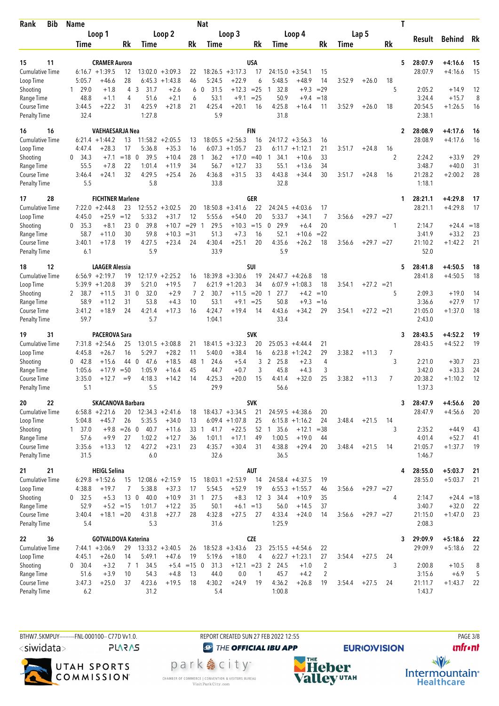| <b>Bib</b><br>Rank                  | <b>Name</b>                 |                                |                                         |                | <b>Nat</b>              |                               |                  |                                         |                          |        |              | Τ              |                    |                        |          |
|-------------------------------------|-----------------------------|--------------------------------|-----------------------------------------|----------------|-------------------------|-------------------------------|------------------|-----------------------------------------|--------------------------|--------|--------------|----------------|--------------------|------------------------|----------|
|                                     | Loop 1                      |                                | Loop 2                                  |                |                         | Loop 3                        |                  | Loop 4                                  |                          |        | Lap 5        |                | Result             | Behind                 | Rk       |
|                                     | Time                        | Rk                             | Time                                    | Rk             | Time                    |                               | Rk               | Time                                    | Rk                       | Time   |              | Rk             |                    |                        |          |
|                                     |                             |                                |                                         |                |                         |                               |                  |                                         |                          |        |              |                |                    |                        |          |
| 11<br>15<br><b>Cumulative Time</b>  | $6:16.7 + 1:39.5$           | <b>CRAMER Aurora</b><br>12     | $13:02.0 + 3:09.3$                      | 22             |                         | $18:26.5 + 3:17.3$            | <b>USA</b><br>17 | 24:15.0<br>$+3:54.1$                    | 15                       |        |              | 5              | 28:07.9<br>28:07.9 | $+4:16.6$<br>$+4:16.6$ | 15<br>15 |
| Loop Time                           | 5:05.7                      | 28<br>$+46.6$                  | 6:45.3<br>$+1:43.8$                     | 46             | 5:24.5                  | $+22.9$                       | 6                | 5:48.5<br>+48.9                         | 14                       | 3:52.9 | $+26.0$      | 18             |                    |                        |          |
| Shooting                            | $1 \quad 29.0$              | 4<br>$+1.8$                    | 3<br>31.7<br>$+2.6$                     | 6              | 31.5<br>$\mathbf{0}$    | $+12.3$                       | $= 25$           | 32.8<br>1                               | $+9.3$<br>$=29$          |        |              | 5              | 2:05.2             | $+14.9$                | 12       |
| Range Time                          | 48.8                        | $+1.1$<br>4                    | 51.6<br>$+2.1$                          | 6              | 53.1                    | $+9.1$                        | $= 25$           | 50.9                                    | $+9.4$<br>$=18$          |        |              |                | 3:24.4             | $+15.7$                | 8        |
| Course Time                         | 3:44.5                      | $+22.2$<br>31                  | 4:25.9<br>$+21.8$                       | 21             | 4:25.4                  | $+20.1$                       | 16               | 4:25.8<br>$+16.4$                       | 11                       | 3:52.9 | $+26.0$      | 18             | 20:54.5            | $+1:26.5$              | 16       |
| <b>Penalty Time</b>                 | 32.4                        |                                | 1:27.8                                  |                | 5.9                     |                               |                  | 31.8                                    |                          |        |              |                | 2:38.1             |                        |          |
| 16<br>16                            |                             | VAEHAESARJA Nea                |                                         |                |                         |                               | <b>FIN</b>       |                                         |                          |        |              | $\overline{2}$ | 28:08.9            | +4:17.6                | 16       |
| Cumulative Time                     | 6:21.4                      | $+1:44.2$<br>13                | $11:58.2 + 2:05.5$                      | 13             |                         | $18:05.5 + 2:56.3$            | 16               | 24:17.2 +3:56.3                         | 16                       |        |              |                | 28:08.9            | $+4:17.6$              | 16       |
| Loop Time                           | 4:47.4                      | +28.3<br>17                    | 5:36.8<br>$+35.3$                       | 16             | 6:07.3                  | $+1:05.7$                     | 23               | 6:11.7<br>$+1:12.1$                     | 21                       | 3:51.7 | $+24.8$      | 16             |                    |                        |          |
| Shooting                            | 0<br>34.3                   | $=18$ 0<br>$+7.1$              | 39.5<br>$+10.4$                         | 28             | 36.2<br>1               | $+17.0$                       | $=40$            | $+10.6$<br>1<br>34.1                    | 33                       |        |              | 2              | 2:24.2             | $+33.9$                | 29       |
| Range Time                          | 55.5                        | $+7.8$<br>22<br>32<br>$+24.1$  | 1:01.4<br>$+11.9$<br>4:29.5<br>$+25.4$  | 34<br>26       | 56.7<br>4:36.8          | $+12.7$<br>$+31.5$            | 33<br>33         | 55.1<br>$+13.6$<br>4:43.8<br>$+34.4$    | 34<br>30                 | 3:51.7 |              |                | 3:48.7<br>21:28.2  | $+40.0$<br>$+2:00.2$   | 31<br>28 |
| Course Time<br><b>Penalty Time</b>  | 3:46.4<br>5.5               |                                | 5.8                                     |                | 33.8                    |                               |                  | 32.8                                    |                          |        | $+24.8$      | 16             | 1:18.1             |                        |          |
|                                     |                             |                                |                                         |                |                         |                               |                  |                                         |                          |        |              |                |                    |                        |          |
| 17<br>28<br><b>Cumulative Time</b>  | $7:22.0 +2:44.8$            | <b>FICHTNER Marlene</b><br>23  | 12:55.2<br>$+3:02.5$                    |                | 18:50.8                 | $+3:41.6$                     | GER<br>22        | 24:24.5<br>$+4:03.6$                    | 17                       |        |              | 1              | 28:21.1<br>28:21.1 | $+4:29.8$<br>$+4:29.8$ | 17<br>17 |
| Loop Time                           | 4:45.0                      | $+25.9$<br>$=12$               | 5:33.2<br>$+31.7$                       | 20<br>12       | 5:55.6                  | $+54.0$                       | 20               | 5:33.7<br>$+34.1$                       | $\overline{7}$           | 3:56.6 | $+29.7 = 27$ |                |                    |                        |          |
| Shooting                            | 35.3<br>0                   | 230<br>$+8.1$                  | 39.8<br>$+10.7$                         | $=29$          | 29.5<br>$\overline{1}$  | $+10.3$                       | $=15$            | 29.9<br>$\mathbf{0}$                    | 20<br>$+6.4$             |        |              | 1              | 2:14.7             | $+24.4 = 18$           |          |
| Range Time                          | 58.7                        | 30<br>$+11.0$                  | 59.8<br>$+10.3$                         | $= 31$         | 51.3                    | $+7.3$                        | 16               | 52.1                                    | $= 22$<br>+10.6          |        |              |                | 3:41.9             | $+33.2$                | 23       |
| Course Time                         | 3:40.1                      | 19<br>$+17.8$                  | 4:27.5<br>$+23.4$                       | 24             | 4:30.4                  | $+25.1$                       | 20               | 4:35.6<br>$+26.2$                       | 18                       | 3:56.6 | $+29.7 = 27$ |                | 21:10.2            | $+1:42.2$              | 21       |
| <b>Penalty Time</b>                 | 6.1                         |                                | 5.9                                     |                | 33.9                    |                               |                  | 5.9                                     |                          |        |              |                | 52.0               |                        |          |
| 12<br>18                            |                             | <b>LAAGER Alessia</b>          |                                         |                |                         |                               | SUI              |                                         |                          |        |              | 5              | 28:41.8            | $+4:50.5$              | 18       |
| <b>Cumulative Time</b>              | $6:56.9 +2:19.7$            | 19                             | $12:17.9 + 2:25.2$                      | 16             |                         | $18:39.8 + 3:30.6$            | 19               | $24:47.7 + 4:26.8$                      | 18                       |        |              |                | 28:41.8            | $+4:50.5$              | 18       |
| Loop Time                           | $5:39.9 +1:20.8$            | 39                             | $+19.5$<br>5:21.0                       | 7              | 6:21.9                  | $+1:20.3$                     | 34               | $6:07.9 +1:08.3$                        | 18                       | 3:54.1 | $+27.2 = 21$ |                |                    |                        |          |
| Shooting                            | 2 38.7                      | 31<br>$+11.5$                  | $\overline{0}$<br>32.0<br>$+2.9$        | $\overline{7}$ | 2<br>30.7               | $+11.5$                       | $=20$            | 27.7<br>$\overline{1}$                  | $+4.2$<br>$=10$          |        |              | 5              | 2:09.3             | $+19.0$                | 14       |
| Range Time<br>Course Time           | 58.9<br>3:41.2              | 31<br>$+11.2$<br>$+18.9$<br>24 | 53.8<br>$+4.3$<br>4:21.4<br>$+17.3$     | 10<br>16       | 53.1<br>4:24.7          | $+9.1$<br>$+19.4$             | $= 25$<br>14     | 50.8<br>4:43.6<br>$+34.2$               | $+9.3$<br>$=16$<br>29    | 3:54.1 | $+27.2 = 21$ |                | 3:36.6<br>21:05.0  | $+27.9$<br>$+1:37.0$   | 17<br>18 |
| <b>Penalty Time</b>                 | 59.7                        |                                | 5.7                                     |                | 1:04.1                  |                               |                  | 33.4                                    |                          |        |              |                | 2:43.0             |                        |          |
|                                     |                             |                                |                                         |                |                         |                               |                  |                                         |                          |        |              |                |                    |                        |          |
| 31<br>19<br>Cumulative Time         | $7:31.8 + 2:54.6$           | PACEROVA Sara<br>25            | $13:01.5 + 3:08.8$                      | 21             | 18:41.5                 | $+3:32.3$                     | <b>SVK</b><br>20 | 25:05.3<br>$+4:44.4$                    | 21                       |        |              | 3              | 28:43.5<br>28:43.5 | $+4:52.2$<br>$+4:52.2$ | 19<br>19 |
| Loop Time                           | 4:45.8                      | $+26.7$<br>16                  | 5:29.7<br>$+28.2$                       | 11             | 5:40.0                  | $+38.4$                       | 16               | $6:23.8 + 1:24.2$                       | 29                       | 3:38.2 | $+11.3$      | 7              |                    |                        |          |
| Shooting                            | 42.8<br>0                   | $+15.6$<br>44                  | 47.6<br>$+18.5$<br>$\mathbf 0$          | 48             | 24.6<br>-1              | $+5.4$                        | 3                | 2 25.8                                  | $+2.3$<br>4              |        |              | 3              | 2:21.0             | $+30.7$                | 23       |
| Range Time                          | 1:05.6                      | $+17.9$<br>$=50$               | 1:05.9<br>$+16.4$                       | 45             | 44.7                    | $+0.7$                        | 3                | 45.8                                    | 3<br>$+4.3$              |        |              |                | 3:42.0             | $+33.3$                | 24       |
| Course Time                         | 3:35.0                      | $+12.7$<br>$=9$                | 4:18.3<br>$+14.2$                       | 14             | 4:25.3                  | $+20.0$                       | 15               | 4:41.4<br>$+32.0$                       | 25                       | 3:38.2 | $+11.3$      | 7              | 20:38.2            | $+1:10.2$              | 12       |
| <b>Penalty Time</b>                 | 5.1                         |                                | 5.5                                     |                | 29.9                    |                               |                  | 56.6                                    |                          |        |              |                | 1:37.3             |                        |          |
| 20<br>22                            |                             | <b>SKACANOVA Barbara</b>       |                                         |                |                         |                               | <b>SVK</b>       |                                         |                          |        |              | 3              | 28:47.9            | $+4:56.6$              | 20       |
| Cumulative Time                     | $6:58.8 + 2:21.6$           | 20                             | $12:34.3 + 2:41.6$                      | 18             |                         | $18:43.7 + 3:34.5$            | 21               | $24:59.5 +4:38.6$                       | 20                       |        |              |                | 28:47.9            | $+4:56.6$              | 20       |
| Loop Time                           | 5:04.8                      | $+45.7$<br>26                  | 5:35.5<br>$+34.0$                       | 13             |                         | $6:09.4 +1:07.8$              | 25               | $6:15.8 +1:16.2$                        | 24                       | 3:48.4 | $+21.5$      | 14             |                    |                        |          |
| Shooting<br>Range Time              | $1 \quad 37.0$<br>57.6      | $+9.8$ = 26 0<br>$+9.9$<br>27  | 40.7<br>$+11.6$<br>1:02.2<br>$+12.7$    | 36             | 33 1<br>41.7<br>1:01.1  | $+22.5$<br>$+17.1$            | 52<br>49         | 1, 35.6<br>$+12.1$<br>1:00.5<br>$+19.0$ | $= 38$<br>44             |        |              | 3              | 2:35.2<br>4:01.4   | $+44.9$<br>$+52.7$     | 43<br>41 |
| Course Time                         | 3:35.6                      | $+13.3$<br>12                  | 4:27.2<br>$+23.1$                       | 23             | 4:35.7                  | $+30.4$                       | 31               | 4:38.8<br>$+29.4$                       | 20                       | 3:48.4 | $+21.5$      | 14             | 21:05.7            | $+1:37.7$              | 19       |
| <b>Penalty Time</b>                 | 31.5                        |                                | 6.0                                     |                | 32.6                    |                               |                  | 36.5                                    |                          |        |              |                | 1:46.7             |                        |          |
| 21<br>21                            |                             | <b>HEIGL Selina</b>            |                                         |                |                         |                               | AUT              |                                         |                          |        |              | 4              | 28:55.0            | $+5:03.7$              | 21       |
| <b>Cumulative Time</b>              | $6:29.8 +1:52.6$            | 15                             | $12:08.6 + 2:15.9$                      | 15             |                         | $18:03.1 + 2:53.9$            | 14               | $24:58.4 + 4:37.5$                      | 19                       |        |              |                | 28:55.0            | $+5:03.7$              | 21       |
| Loop Time                           | 4:38.8                      | $+19.7$<br>7                   | 5:38.8<br>$+37.3$                       | 17             | 5:54.5                  | $+52.9$                       | 19               | $6:55.3 +1:55.7$                        | 46                       | 3:56.6 | $+29.7 = 27$ |                |                    |                        |          |
| Shooting                            | $0$ 32.5                    | $+5.3$<br>130                  | 40.0<br>$+10.9$                         |                | 27.5<br>31 <sub>1</sub> | $+8.3$                        | 12               | 3 34.4<br>$+10.9$                       | 35                       |        |              | 4              | 2:14.7             | $+24.4 = 18$           |          |
| Range Time                          | 52.9                        | $+5.2 = 15$                    | 1:01.7<br>$+12.2$                       | 35             | 50.1                    | $+6.1 = 13$                   |                  | 56.0<br>$+14.5$                         | 37                       |        |              |                | 3:40.7             | $+32.0$                | 22       |
| Course Time                         | 3:40.4<br>5.4               | $+18.1 = 20$                   | 4:31.8<br>$+27.7$<br>5.3                | 28             | 4:32.8<br>31.6          | $+27.5$                       | 27               | 4:33.4<br>$+24.0$<br>1:25.9             | 14                       | 3:56.6 | $+29.7 = 27$ |                | 21:15.0<br>2:08.3  | $+1:47.0$              | 23       |
| <b>Penalty Time</b>                 |                             |                                |                                         |                |                         |                               |                  |                                         |                          |        |              |                |                    |                        |          |
| 36<br>22                            |                             | <b>GOTVALDOVA Katerina</b>     |                                         |                |                         |                               | <b>CZE</b>       |                                         |                          |        |              | 3              | 29:09.9            | $+5:18.6$              | - 22     |
| <b>Cumulative Time</b><br>Loop Time | $7:44.1 + 3:06.9$<br>4:45.1 | 29<br>$+26.0$<br>14            | $13:33.2 + 3:40.5$<br>5:49.1<br>$+47.6$ | 26<br>19       | 5:19.6                  | $18:52.8 + 3:43.6$<br>$+18.0$ | 23<br>4          | $25:15.5 +4:54.6$<br>$6:22.7 +1:23.1$   | 22<br>27                 | 3:54.4 | $+27.5$      | 24             | 29:09.9            | $+5:18.6$              | 22       |
| Shooting                            | 0 30.4                      | $+3.2$                         | 34.5<br>7 1                             | $+5.4$ = 15 0  | 31.3                    | $+12.1$                       | $= 23$           | 2 24.5                                  | 2<br>$+1.0$              |        |              | 3              | 2:00.8             | $+10.5$                | 8        |
| Range Time                          | 51.6                        | $+3.9$<br>10                   | 54.3<br>$+4.8$                          | 13             | 44.0                    | 0.0                           | $\mathbf{1}$     | 45.7                                    | $\overline{2}$<br>$+4.2$ |        |              |                | 3:15.6             | $+6.9$                 | 5        |
| Course Time                         | 3:47.3                      | $+25.0$<br>37                  | 4:23.6<br>$+19.5$                       | 18             | 4:30.2                  | $+24.9$                       | 19               | 4:36.2<br>$+26.8$                       | 19                       | 3:54.4 | $+27.5$      | 24             | 21:11.7            | $+1:43.7$              | 22       |
| <b>Penalty Time</b>                 | 6.2                         |                                | 31.2                                    |                | 5.4                     |                               |                  | 1:00.8                                  |                          |        |              |                | 1:43.7             |                        |          |
|                                     |                             |                                |                                         |                |                         |                               |                  |                                         |                          |        |              |                |                    |                        |          |

BTHW7.5KMPUY---------FNL-000100-- C77D W1.0. REPORT CREATED SUN 27 FEB 2022 12:55 PAGE 3/8 <siwidata>

**PLARAS** 

UTAH SPORTS<br>COMMISSION®

**@** THE OFFICIAL IBU APP park e city<sup>®</sup> CHAMBER OF COMMERCE | CONVENTION & VISITORS BUREAU<br>Visit Park City.com



**unfront**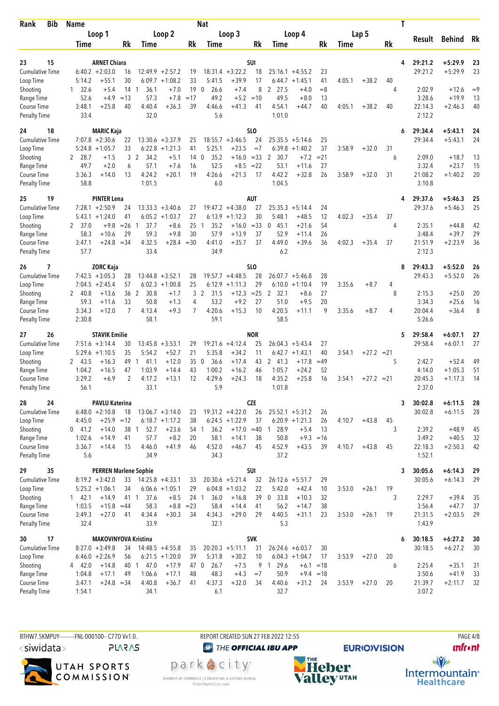| <b>Bib</b><br>Rank                  |    | <b>Name</b>                            |                                |                                                     |                 | Nat                 |                               |                  |                                          |                   |        |              | Τ  |                    |                        |          |
|-------------------------------------|----|----------------------------------------|--------------------------------|-----------------------------------------------------|-----------------|---------------------|-------------------------------|------------------|------------------------------------------|-------------------|--------|--------------|----|--------------------|------------------------|----------|
|                                     |    | Loop 1                                 |                                | Loop 2                                              |                 |                     | Loop 3                        |                  | Loop 4                                   |                   |        | Lap 5        |    |                    |                        |          |
|                                     |    | Time                                   | Rk                             | Time                                                | Rk              | Time                |                               | Rk               | Time                                     | Rk                | Time   |              | Rk | Result             | Behind                 | Rk       |
|                                     |    |                                        |                                |                                                     |                 |                     |                               |                  |                                          |                   |        |              |    |                    |                        |          |
| 23<br><b>Cumulative Time</b>        | 15 | $6:40.2 + 2:03.0$                      | <b>ARNET Chiara</b><br>16      | 12:49.9<br>$+2:57.2$                                | 19              |                     | $18:31.4 + 3:22.2$            | SUI<br>18        | $25:16.1 + 4:55.2$                       |                   |        |              | 4  | 29:21.2<br>29:21.2 | $+5:29.9$<br>$+5:29.9$ | 23<br>23 |
| Loop Time                           |    | 5:14.2                                 | 30<br>$+55.1$                  | $6:09.7 +1:08.2$                                    | 33              | 5:41.5              | $+39.9$                       | 17               | 6:44.7<br>$+1:45.1$                      | 23<br>41          | 4:05.1 | $+38.2$      | 40 |                    |                        |          |
| Shooting                            |    | 32.6<br>1                              | $14-1$<br>$+5.4$               | 36.1<br>$+7.0$                                      | 190             | 26.6                | $+7.4$                        | 8                | 2 27.5<br>$+4.0$                         | $= 8$             |        |              | 4  | 2:02.9             | $+12.6$                | $=9$     |
| Range Time                          |    | 52.6                                   | $+4.9$<br>$=13$                | 57.3<br>$+7.8$                                      | $=17$           | 49.2                | $+5.2$                        | $=10$            | 49.5<br>$+8.0$                           | 13                |        |              |    | 3:28.6             | $+19.9$                | 13       |
| Course Time                         |    | 3:48.1                                 | $+25.8$<br>40                  | 4:40.4<br>$+36.3$                                   | 39              | 4:46.6              | $+41.3$                       | 41               | 4:54.1<br>$+44.7$                        | 40                | 4:05.1 | $+38.2$      | 40 | 22:14.3            | $+2:46.3$              | 40       |
| <b>Penalty Time</b>                 |    | 33.4                                   |                                | 32.0                                                |                 | 5.6                 |                               |                  | 1:01.0                                   |                   |        |              |    | 2:12.2             |                        |          |
| 24                                  | 18 |                                        | <b>MARIC Kaja</b>              |                                                     |                 |                     |                               | SL <sub>0</sub>  |                                          |                   |        |              | 6  | 29:34.4            | $+5:43.1$              | 24       |
| Cumulative Time                     |    | $7:07.8 + 2:30.6$                      | 22                             | $13:30.6 + 3:37.9$                                  | 25              |                     | $18:55.7 + 3:46.5$            | 24               | $25:35.5 + 5:14.6$                       | 25                |        |              |    | 29:34.4            | $+5:43.1$              | 24       |
| Loop Time                           |    | $5:24.8 +1:05.7$                       | 33                             | $6:22.8 +1:21.3$                                    | 41              | 5:25.1              | $+23.5$                       | $=7$             | $+1:40.2$<br>6:39.8                      | 37                | 3:58.9 | $+32.0$      | 31 |                    |                        |          |
| Shooting                            |    | 2 28.7                                 | 3<br>$+1.5$                    | 2<br>34.2<br>$+5.1$                                 | 14 <sub>0</sub> | 35.2                | $+16.0$                       | $= 33$           | 2<br>30.7<br>$+7.2$                      | $= 21$            |        |              | 6  | 2:09.0             | $+18.7$                | 13       |
| Range Time                          |    | 49.7<br>3:36.3                         | $+2.0$<br>6<br>13              | 57.1<br>$+7.6$<br>4:24.2<br>$+20.1$                 | 16<br>19        | 52.5<br>4:26.6      | $+8.5$<br>$+21.3$             | $= 22$<br>17     | 53.1<br>$+11.6$<br>4:42.2<br>$+32.8$     | 27<br>26          | 3:58.9 | $+32.0$      | 31 | 3:32.4<br>21:08.2  | $+23.7$<br>$+1:40.2$   | 15<br>20 |
| Course Time<br><b>Penalty Time</b>  |    | 58.8                                   | $+14.0$                        | 1:01.5                                              |                 | 6.0                 |                               |                  | 1:04.5                                   |                   |        |              |    | 3:10.8             |                        |          |
|                                     |    |                                        |                                |                                                     |                 |                     |                               |                  |                                          |                   |        |              |    |                    |                        |          |
| 25<br><b>Cumulative Time</b>        | 19 | $7:28.1 + 2:50.9$                      | <b>PINTER Lena</b><br>24       | $13:33.3 + 3:40.6$                                  | 27              |                     | $19:47.2 +4:38.0$             | AUT<br>27        | 25:35.3<br>$+5:14.4$                     | 24                |        |              | 4  | 29:37.6<br>29:37.6 | $+5:46.3$<br>$+5:46.3$ | 25<br>25 |
| Loop Time                           |    | $5:43.1 + 1:24.0$                      | 41                             | $6:05.2 +1:03.7$                                    | 27              | 6:13.9              | $+1:12.3$                     | 30               | $+48.5$<br>5:48.1                        | 12                | 4:02.3 | $+35.4$      | 37 |                    |                        |          |
| Shooting                            |    | 2 37.0                                 | $+9.8$<br>$=26$                | 37.7<br>$+8.6$<br>-1                                | 25              | 35.2<br>1           | $+16.0$                       | $= 33$           | 45.1<br>$+21.6$<br>0                     | 54                |        |              | 4  | 2:35.1             | $+44.8$                | 42       |
| Range Time                          |    | 58.3                                   | 29<br>$+10.6$                  | 59.3<br>$+9.8$                                      | 30              | 57.9                | $+13.9$                       | 37               | 52.9<br>$+11.4$                          | 26                |        |              |    | 3:48.4             | $+39.7$                | 29       |
| Course Time                         |    | 3:47.1                                 | $+24.8$<br>$=34$               | 4:32.5<br>$+28.4 = 30$                              |                 | 4:41.0              | $+35.7$                       | 37               | 4:49.0<br>$+39.6$                        | 36                | 4:02.3 | $+35.4$      | 37 | 21:51.9            | $+2:23.9$              | 36       |
| <b>Penalty Time</b>                 |    | 57.7                                   |                                | 33.4                                                |                 | 34.9                |                               |                  | 6.2                                      |                   |        |              |    | 2:12.3             |                        |          |
| 26                                  | 7  |                                        | <b>ZORC Kaja</b>               |                                                     |                 |                     |                               | SLO              |                                          |                   |        |              | 8  | 29:43.3            | $+5:52.0$              | 26       |
| <b>Cumulative Time</b>              |    | $7:42.5 +3:05.3$                       | 28                             | $13:44.8 + 3:52.1$                                  | 28              |                     | $19:57.7 + 4:48.5$            | 28               | $26:07.7 + 5:46.8$                       | 28                |        |              |    | 29:43.3            | $+5:52.0$              | 26       |
| Loop Time                           |    | $7:04.5 +2:45.4$                       | 57                             | 6:02.3<br>$+1:00.8$                                 | 25              | 6:12.9              | $+1:11.3$                     | 29               | $6:10.0 + 1:10.4$                        | 19                | 3:35.6 | $+8.7$       | 4  |                    |                        |          |
| Shooting                            |    | 2 40.8                                 | $+13.6$<br>36 2                | 30.8<br>$+1.7$                                      | 3               | 2<br>31.5           | $+12.3$                       | $= 25$           | 2<br>32.1<br>$+8.6$                      | 27                |        |              | 8  | 2:15.3             | $+25.0$                | 20       |
| Range Time<br>Course Time           |    | 59.3<br>3:34.3                         | 33<br>$+11.6$<br>$+12.0$<br>7  | 50.8<br>$+1.3$<br>4:13.4<br>$+9.3$                  | 4<br>7          | 53.2<br>4:20.6      | $+9.2$<br>$+15.3$             | 27<br>10         | 51.0<br>$+9.5$<br>4:20.5<br>$+11.1$      | 20<br>9           | 3:35.6 | $+8.7$       | 4  | 3:34.3<br>20:04.4  | $+25.6$<br>$+36.4$     | 16<br>8  |
| <b>Penalty Time</b>                 |    | 2:30.8                                 |                                | 58.1                                                |                 | 59.1                |                               |                  | 58.5                                     |                   |        |              |    | 5:26.6             |                        |          |
|                                     |    |                                        |                                |                                                     |                 |                     |                               |                  |                                          |                   |        |              |    |                    |                        |          |
| 27<br>Cumulative Time               | 26 | $7:51.6 + 3:14.4$                      | <b>STAVIK Emilie</b><br>30     | $13:45.8 + 3:53.1$                                  | 29              |                     | $19:21.6 +4:12.4$             | <b>NOR</b><br>25 | 26:04.3<br>$+5:43.4$                     | 27                |        |              | 5  | 29:58.4<br>29:58.4 | $+6:07.1$<br>$+6:07.1$ | 27<br>27 |
| Loop Time                           |    | $5:29.6 +1:10.5$                       | 35                             | 5:54.2<br>$+52.7$                                   | 21              | 5:35.8              | $+34.2$                       | 11               | 6:42.7<br>$+1:43.1$                      | 40                | 3:54.1 | $+27.2 = 21$ |    |                    |                        |          |
| Shooting                            |    | 2 43.5                                 | 49<br>$+16.3$                  | 41.1<br>$+12.0$<br>-1                               | 35              | 36.6<br>$\mathbf 0$ | $+17.4$                       | 43               | 2 41.3<br>$+17.8$                        | $=49$             |        |              | 5  | 2:42.7             | $+52.4$                | 49       |
| Range Time                          |    | 1:04.2                                 | $+16.5$<br>47                  | 1:03.9<br>$+14.4$                                   | 43              | 1:00.2              | $+16.2$                       | 46               | 1:05.7<br>$+24.2$                        | 52                |        |              |    | 4:14.0             | $+1:05.3$              | 51       |
| Course Time                         |    | 3:29.2                                 | $+6.9$<br>2                    | 4:17.2<br>$+13.1$                                   | 12              | 4:29.6              | $+24.3$                       | 18               | 4:35.2<br>$+25.8$                        | 16                | 3:54.1 | $+27.2 = 21$ |    | 20:45.3            | $+1:17.3$              | 14       |
| <b>Penalty Time</b>                 |    | 56.1                                   |                                | 33.1                                                |                 | 5.9                 |                               |                  | 1:01.8                                   |                   |        |              |    | 2:37.0             |                        |          |
| 28                                  | 24 |                                        | <b>PAVLU Katerina</b>          |                                                     |                 |                     |                               | <b>CZE</b>       |                                          |                   |        |              | 3  | 30:02.8            | $+6:11.5$              | 28       |
| Cumulative Time                     |    | $6:48.0 + 2:10.8$                      | 18                             | $13:06.7 + 3:14.0$                                  | 23              | $19:31.2 +4:22.0$   |                               | 26               | $25:52.1 + 5:31.2$                       | 26                |        |              |    | 30:02.8            | $+6:11.5$              | 28       |
| Loop Time                           |    | 4:45.0                                 | $+25.9 = 12$                   | $6:18.7 +1:17.2$                                    | 38              |                     | $6:24.5 +1:22.9$              | 37               | $6:20.9 +1:21.3$                         | 26                | 4:10.7 | $+43.8$      | 45 |                    |                        |          |
| Shooting<br>Range Time              |    | $0$ 41.2<br>1:02.6                     | $+14.0$<br>38<br>$+14.9$<br>41 | 52.7<br>$+23.6$<br>$\overline{1}$<br>57.7<br>$+8.2$ | 54 1<br>20      | 36.2<br>58.1        | $+17.0$<br>$+14.1$            | $=40$<br>38      | 28.9<br>$+5.4$<br>$\overline{1}$<br>50.8 | 13<br>$+9.3 = 16$ |        |              | 3  | 2:39.2<br>3:49.2   | $+48.9$<br>$+40.5$     | 45<br>32 |
| Course Time                         |    | 3:36.7                                 | $+14.4$<br>15                  | 4:46.0<br>$+41.9$                                   | 46              | 4:52.0              | $+46.7$                       | 45               | 4:52.9<br>$+43.5$                        | 39                | 4:10.7 | $+43.8$      | 45 | 22:18.3            | $+2:50.3$              | 42       |
| <b>Penalty Time</b>                 |    | 5.6                                    |                                | 34.9                                                |                 | 34.3                |                               |                  | 37.2                                     |                   |        |              |    | 1:52.1             |                        |          |
| 29                                  | 35 |                                        | <b>PERREN Marlene Sophie</b>   |                                                     |                 |                     |                               | SUI              |                                          |                   |        |              | 3  | 30:05.6            | $+6:14.3$              | 29       |
| <b>Cumulative Time</b>              |    | $8:19.2 + 3:42.0$                      | 33                             | $14:25.8 + 4:33.1$                                  | 33              |                     | $20:30.6 + 5:21.4$            | 32               | $26:12.6 + 5:51.7$                       | 29                |        |              |    | 30:05.6            | $+6:14.3$              | 29       |
| Loop Time                           |    | $5:25.2 +1:06.1$                       | 34                             | $6:06.6 +1:05.1$                                    | 29              |                     | $6:04.8 +1:03.2$              | 22               | 5:42.0<br>$+42.4$                        | 10                | 3:53.0 | $+26.1$      | 19 |                    |                        |          |
| Shooting                            |    | 142.1                                  | $+14.9$<br>41 1                | 37.6<br>$+8.5$                                      | 24 1            | 36.0                | $+16.8$                       | 39               | 0 33.8<br>$+10.3$                        | 32                |        |              | 3  | 2:29.7             | $+39.4$                | 35       |
| Range Time                          |    | 1:03.5                                 | $+15.8$<br>$=44$               | 58.3<br>$+8.8$                                      | $= 23$          | 58.4                | $+14.4$                       | 41               | 56.2<br>$+14.7$                          | 38                |        |              |    | 3:56.4             | $+47.7$                | 37       |
| Course Time                         |    | 3:49.3<br>32.4                         | $+27.0$<br>41                  | 4:34.4<br>$+30.3$<br>33.9                           | 34              | 4:34.3<br>32.1      | $+29.0$                       | 29               | 4:40.5<br>$+31.1$<br>5.3                 | 23                | 3:53.0 | $+26.1$      | 19 | 21:31.5<br>1:43.9  | $+2:03.5$              | 29       |
| <b>Penalty Time</b>                 |    |                                        |                                |                                                     |                 |                     |                               |                  |                                          |                   |        |              |    |                    |                        |          |
| 30                                  | 17 |                                        | <b>MAKOVINYOVA Kristina</b>    |                                                     |                 |                     |                               | <b>SVK</b>       |                                          |                   |        |              | 6  | 30:18.5            | $+6:27.2$              | - 30     |
| <b>Cumulative Time</b><br>Loop Time |    | $8:27.0 + 3:49.8$<br>$6:46.0 + 2:26.9$ | 34<br>56                       | $14:48.5 + 4:55.8$<br>$6:21.5 +1:20.0$              | 35<br>39        | 5:31.8              | $20:20.3 + 5:11.1$<br>$+30.2$ | 31<br>10         | $26:24.6 + 6:03.7$<br>$6:04.3 +1:04.7$   | 30<br>17          | 3:53.9 | $+27.0$      | 20 | 30:18.5            | $+6:27.2$              | 30       |
| Shooting                            |    | 4 42.0                                 | $+14.8$<br>40 1                | 47.0<br>$+17.9$                                     | 47 0            | 26.7                | $+7.5$                        |                  | 9 1 29.6                                 | $+6.1 = 18$       |        |              | 6  | 2:25.4             | $+35.1$                | 31       |
| Range Time                          |    | 1:04.8                                 | 49<br>$+17.1$                  | 1:06.6<br>$+17.1$                                   | 48              | 48.3                | $+4.3$                        | $=7$             | 50.9<br>$+9.4$                           | $=18$             |        |              |    | 3:50.6             | $+41.9$                | 33       |
| Course Time                         |    | 3:47.1                                 | $+24.8 = 34$                   | 4:40.8<br>$+36.7$                                   | 41              | 4:37.3              | $+32.0$                       | 34               | 4:40.6<br>$+31.2$                        | 24                | 3:53.9 | $+27.0$      | 20 | 21:39.7            | $+2:11.7$              | 32       |
| <b>Penalty Time</b>                 |    | 1:54.1                                 |                                | 34.1                                                |                 | 6.1                 |                               |                  | 32.7                                     |                   |        |              |    | 3:07.2             |                        |          |
|                                     |    |                                        |                                |                                                     |                 |                     |                               |                  |                                          |                   |        |              |    |                    |                        |          |

BTHW7.5KMPUY---------FNL-000100-- C77D W1.0. REPORT CREATED SUN 27 FEB 2022 12:55 PAGE 4/8 <siwidata>

**PLARAS** 



**@** THE OFFICIAL IBU APP

park e city<sup>®</sup> CHAMBER OF COMMERCE | CONVENTION & VISITORS BUREAU<br>Visit Park City.com



**unfront**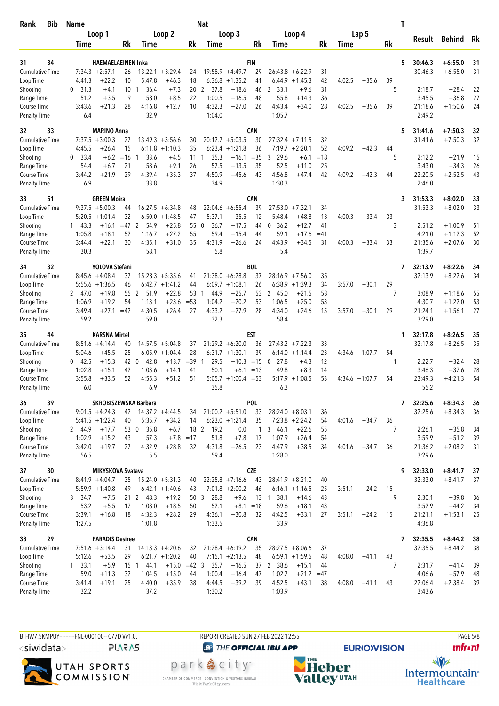| <b>Bib</b><br>Rank                 | <b>Name</b>            |                                   |                          |                    |                 | <b>Nat</b>       |                      |            |                    |                      |             |        |                   |                | Τ                       |                        |          |
|------------------------------------|------------------------|-----------------------------------|--------------------------|--------------------|-----------------|------------------|----------------------|------------|--------------------|----------------------|-------------|--------|-------------------|----------------|-------------------------|------------------------|----------|
|                                    | Loop 1                 |                                   |                          | Loop 2             |                 |                  | Loop 3               |            |                    | Loop 4               |             |        | Lap 5             |                |                         |                        | Rk       |
|                                    | Time                   | Rk                                | Time                     |                    | Rk              | Time             |                      | Rk         | Time               |                      | Rk          | Time   |                   | Rk             | Result                  | <b>Behind</b>          |          |
|                                    |                        |                                   |                          |                    |                 |                  |                      |            |                    |                      |             |        |                   |                |                         |                        |          |
| 34<br>31<br><b>Cumulative Time</b> | $7:34.3 +2:57.1$       | <b>HAEMAELAEINEN Inka</b><br>26   |                          | $13:22.1 + 3:29.4$ | 24              |                  | $19:58.9 +4:49.7$    | FIN<br>29  | 26:43.8            | $+6:22.9$            | 31          |        |                   |                | 30:46.3<br>5<br>30:46.3 | $+6:55.0$<br>$+6:55.0$ | 31<br>31 |
| Loop Time                          | 4:41.3                 | $+22.2$<br>10                     | 5:47.8                   | $+46.3$            | 18              | 6:36.8           | $+1:35.2$            | 41         | 6:44.9             | $+1:45.3$            | 42          | 4:02.5 | $+35.6$           | 39             |                         |                        |          |
| Shooting                           | 31.3<br>0              | +4.1                              | 10 <sub>1</sub><br>36.4  | $+7.3$             | 20              | 2<br>37.8        | $+18.6$              | 46         | 2 33.1             | $+9.6$               | 31          |        |                   | 5              | 2:18.7                  | $+28.4$                | 22       |
| Range Time                         | 51.2                   | $+3.5$                            | 9<br>58.0                | $+8.5$             | 22              | 1:00.5           | $+16.5$              | 48         | 55.8               | $+14.3$              | 36          |        |                   |                | 3:45.5                  | $+36.8$                | 27       |
| Course Time                        | 3:43.6                 | $+21.3$<br>28                     | 4:16.8                   | $+12.7$            | 10              | 4:32.3           | $+27.0$              | 26         | 4:43.4             | $+34.0$              | 28          | 4:02.5 | $+35.6$           | 39             | 21:18.6                 | $+1:50.6$              | 24       |
| <b>Penalty Time</b>                | 6.4                    |                                   | 32.9                     |                    |                 | 1:04.0           |                      |            | 1:05.7             |                      |             |        |                   |                | 2:49.2                  |                        |          |
| 33<br>32                           |                        | <b>MARINO Anna</b>                |                          |                    |                 |                  |                      | <b>CAN</b> |                    |                      |             |        |                   |                | 5<br>31:41.6            | $+7:50.3$              | 32       |
| Cumulative Time                    | $7:37.5 +3:00.3$       | 27                                |                          | $13:49.3 + 3:56.6$ | 30              |                  | $20:12.7 + 5:03.5$   | 30         |                    | $27:32.4$ +7:11.5    | 32          |        |                   |                | 31:41.6                 | $+7:50.3$              | 32       |
| Loop Time                          | 4:45.5                 | $+26.4$<br>15                     | 6:11.8                   | $+1:10.3$          | 35              | 6:23.4           | $+1:21.8$            | 36         | 7:19.7             | $+2:20.1$            | 52          | 4:09.2 | $+42.3$           | 44             |                         |                        |          |
| Shooting                           | 0<br>33.4              | $+6.2$<br>$=16$                   | 33.6<br>-1               | $+4.5$             | 11              | 35.3<br>1        | $+16.1$              | $=35$      | 3<br>29.6          | $+6.1$               | $=18$       |        |                   | 5              | 2:12.2                  | $+21.9$                | 15       |
| Range Time                         | 54.4<br>3:44.2         | 21<br>$+6.7$<br>$+21.9$<br>29     | 58.6<br>4:39.4           | $+9.1$<br>$+35.3$  | 26<br>37        | 57.5<br>4:50.9   | $+13.5$<br>$+45.6$   | 35<br>43   | 52.5<br>4:56.8     | $+11.0$<br>$+47.4$   | 25<br>42    | 4:09.2 | $+42.3$           | 44             | 3:43.0<br>22:20.5       | $+34.3$<br>$+2:52.5$   | 26<br>43 |
| Course Time<br><b>Penalty Time</b> | 6.9                    |                                   | 33.8                     |                    |                 | 34.9             |                      |            | 1:30.3             |                      |             |        |                   |                | 2:46.0                  |                        |          |
|                                    |                        |                                   |                          |                    |                 |                  |                      |            |                    |                      |             |        |                   |                |                         |                        |          |
| 51<br>33<br><b>Cumulative Time</b> | $9:37.5 + 5:00.3$      | <b>GREEN Moira</b><br>44          |                          | $16:27.5 + 6:34.8$ |                 | 22:04.6          |                      | CAN<br>39  |                    |                      |             |        |                   |                | 31:53.3<br>3<br>31:53.3 | $+8:02.0$<br>$+8:02.0$ | 33<br>33 |
| Loop Time                          | $5:20.5 +1:01.4$       | 32                                | 6:50.0                   | $+1:48.5$          | 48<br>47        | 5:37.1           | $+6:55.4$<br>$+35.5$ | 12         | 27:53.0<br>5:48.4  | $+7:32.1$<br>$+48.8$ | 34<br>13    | 4:00.3 | $+33.4$           | 33             |                         |                        |          |
| Shooting                           | $1 \quad 43.3$         | $+16.1$                           | $=47$ 2<br>54.9          | $+25.8$            | 55 0            | 36.7             | $+17.5$              | 44         | 0, 36.2            | $+12.7$              | 41          |        |                   | 3              | 2:51.2                  | $+1:00.9$              | 51       |
| Range Time                         | 1:05.8                 | 52<br>$+18.1$                     | 1:16.7                   | $+27.2$            | 55              | 59.4             | $+15.4$              | 44         | 59.1               | $+17.6$              | $=41$       |        |                   |                | 4:21.0                  | $+1:12.3$              | 52       |
| Course Time                        | 3:44.4                 | 30<br>$+22.1$                     | 4:35.1                   | $+31.0$            | 35              | 4:31.9           | $+26.6$              | 24         | 4:43.9             | $+34.5$              | 31          | 4:00.3 | $+33.4$           | 33             | 21:35.6                 | $+2:07.6$              | 30       |
| <b>Penalty Time</b>                | 30.3                   |                                   | 58.1                     |                    |                 | 5.8              |                      |            | 5.4                |                      |             |        |                   |                | 1:39.7                  |                        |          |
| 32<br>34                           |                        | YOLOVA Stefani                    |                          |                    |                 |                  |                      | <b>BUL</b> |                    |                      |             |        |                   |                | 32:13.9<br>7            | $+8:22.6$              | 34       |
| Cumulative Time                    | $8:45.6 + 4:08.4$      | 37                                |                          | $15:28.3 + 5:35.6$ | 41              |                  | $21:38.0 + 6:28.8$   | 37         |                    | $28:16.9$ +7:56.0    | 35          |        |                   |                | 32:13.9                 | $+8:22.6$              | 34       |
| Loop Time                          | $5:55.6 + 1:36.5$      | 46                                |                          | $6:42.7 + 1:41.2$  | 44              |                  | $6:09.7 +1:08.1$     | 26         |                    | $6:38.9 +1:39.3$     | 34          | 3:57.0 | $+30.1$           | 29             |                         |                        |          |
| Shooting                           | 2 47.0                 | 55<br>$+19.8$                     | 2<br>51.9                | $+22.8$            | 53              | 44.9<br>1        | $+25.7$              | 53         | 2 45.0             | $+21.5$              | 53          |        |                   | 7              | 3:08.9                  | $+1:18.6$              | 55       |
| Range Time<br>Course Time          | 1:06.9<br>3:49.4       | 54<br>$+19.2$<br>$+27.1$<br>$=42$ | 1:13.1<br>4:30.5         | $+23.6$<br>$+26.4$ | $= 53$<br>27    | 1:04.2<br>4:33.2 | $+20.2$<br>$+27.9$   | 53<br>28   | 1:06.5<br>4:34.0   | $+25.0$<br>$+24.6$   | 53<br>15    | 3:57.0 | $+30.1$           | 29             | 4:30.7<br>21:24.1       | $+1:22.0$<br>$+1:56.1$ | 53<br>27 |
| <b>Penalty Time</b>                | 59.2                   |                                   | 59.0                     |                    |                 | 32.3             |                      |            | 58.4               |                      |             |        |                   |                | 3:29.0                  |                        |          |
|                                    |                        |                                   |                          |                    |                 |                  |                      |            |                    |                      |             |        |                   |                |                         |                        |          |
| 44<br>35<br><b>Cumulative Time</b> | $8:51.6 +4:14.4$       | <b>KARSNA Mirtel</b><br>40        |                          | $14:57.5 + 5:04.8$ | 37              |                  | $21:29.2 + 6:20.0$   | EST<br>36  |                    | $27:43.2 +7:22.3$    | 33          |        |                   |                | 32:17.8<br>1<br>32:17.8 | $+8:26.5$<br>$+8:26.5$ | 35<br>35 |
| Loop Time                          | 5:04.6                 | 25<br>$+45.5$                     |                          | $6:05.9 +1:04.4$   | 28              |                  | $6:31.7 +1:30.1$     | 39         | 6:14.0             | $+1:14.4$            | 23          |        | $4:34.6 +1:07.7$  | 54             |                         |                        |          |
| Shooting                           | $0$ 42.5               | $+15.3$                           | 42 0<br>42.8             | $+13.7$            | $=39$           | 29.5             | $+10.3 = 15$         |            | 27.8<br>0          | $+4.3$               | 12          |        |                   |                | 2:22.7                  | $+32.4$                | 28       |
| Range Time                         | 1:02.8                 | $+15.1$<br>42                     | 1:03.6                   | $+14.1$            | 41              | 50.1             | $+6.1$               | $=13$      | 49.8               | $+8.3$               | 14          |        |                   |                | 3:46.3                  | $+37.6$                | 28       |
| Course Time                        | 3:55.8                 | $+33.5$<br>52                     | 4:55.3                   | $+51.2$            | 51              | 5:05.7           | $+1:00.4 = 53$       |            | 5:17.9             | $+1:08.5$            | 53          |        | $4:34.6 + 1:07.7$ | 54             | 23:49.3                 | $+4:21.3$              | 54       |
| <b>Penalty Time</b>                | 6.0                    |                                   | 6.9                      |                    |                 | 35.8             |                      |            | 6.3                |                      |             |        |                   |                | 55.2                    |                        |          |
| 39<br>36                           |                        | SKROBISZEWSKA Barbara             |                          |                    |                 |                  |                      | POL        |                    |                      |             |        |                   |                | 7<br>32:25.6            | $+8:34.3$              | 36       |
| Cumulative Time                    | $9:01.5 +4:24.3$       |                                   | $42$ 14:37.2 $+4:44.5$   |                    | 34              |                  | $21:00.2 + 5:51.0$   | 33         | $28:24.0 + 8:03.1$ |                      | 36          |        |                   |                | 32:25.6                 | $+8:34.3$              | 36       |
| Loop Time                          | $5:41.5 + 1:22.4$      | 40                                | 5:35.7                   | $+34.2$            | 14              |                  | $6:23.0 +1:21.4$     | 35         |                    | $7:23.8 + 2:24.2$    | 54          | 4:01.6 | $+34.7$           | 36             |                         |                        |          |
| Shooting                           | 2 44.9                 | $+17.7$                           | 53 0<br>35.8             | $+6.7$             |                 | 18 2 19.2        | 0.0                  | 1          | 346.1<br>1:07.9    | $+22.6$              | 55          |        |                   | $\overline{7}$ | 2:26.1                  | $+35.8$                | 34       |
| Range Time<br>Course Time          | 1:02.9<br>3:42.0       | $+15.2$<br>43<br>$+19.7$<br>27    | 57.3<br>4:32.9           | $+7.8$<br>$+28.8$  | $=17$<br>32     | 51.8<br>4:31.8   | $+7.8$<br>$+26.5$    | 17<br>23   | 4:47.9             | $+26.4$<br>$+38.5$   | 54<br>34    | 4:01.6 | $+34.7$           | 36             | 3:59.9<br>21:36.2       | $+51.2$<br>$+2:08.2$   | 39<br>31 |
| <b>Penalty Time</b>                | 56.5                   |                                   | 5.5                      |                    |                 | 59.4             |                      |            | 1:28.0             |                      |             |        |                   |                | 3:29.6                  |                        |          |
| 30<br>37                           |                        | MIKYSKOVA Svatava                 |                          |                    |                 |                  |                      | <b>CZE</b> |                    |                      |             |        |                   |                | 32:33.0<br>9            | $+8:41.7$              | 37       |
| Cumulative Time                    | $8:41.9 +4:04.7$       | 35                                |                          | $15:24.0 + 5:31.3$ | 40              |                  | $22:25.8$ +7:16.6    | 43         | $28:41.9 + 8:21.0$ |                      | 40          |        |                   |                | 32:33.0                 | $+8:41.7$              | 37       |
| Loop Time                          | $5:59.9 +1:40.8$       | 49                                |                          | $6:42.1 +1:40.6$   | 43              |                  | $7:01.8 + 2:00.2$    | 46         |                    | $6:16.1 + 1:16.5$    | 25          | 3:51.1 | $+24.2$           | 15             |                         |                        |          |
| Shooting                           | 3 34.7                 | $+7.5$                            | 21 <sub>2</sub><br>48.3  | $+19.2$            | 50 <sub>3</sub> | 28.8             | $+9.6$               | 13         | 38.1<br>1          | $+14.6$              | 43          |        |                   | 9              | 2:30.1                  | $+39.8$                | 36       |
| Range Time                         | 53.2                   | $+5.5$<br>17                      | 1:08.0                   | $+18.5$            | 50              | 52.1             | $+8.1 = 18$          |            | 59.6               | $+18.1$              | 43          |        |                   |                | 3:52.9                  | $+44.2$                | 34       |
| Course Time                        | 3:39.1                 | $+16.8$<br>18                     | 4:32.3                   | $+28.2$            | 29              | 4:36.1           | $+30.8$              | 32         | 4:42.5             | $+33.1$              | 27          | 3:51.1 | $+24.2$           | 15             | 21:21.1                 | $+1:53.1$              | 25       |
| <b>Penalty Time</b>                | 1:27.5                 |                                   | 1:01.8                   |                    |                 | 1:33.5           |                      |            | 33.9               |                      |             |        |                   |                | 4:36.8                  |                        |          |
| 38<br>29                           |                        | <b>PARADIS Desiree</b>            |                          |                    |                 |                  |                      | <b>CAN</b> |                    |                      |             |        |                   |                | 7<br>32:35.5            | $+8:44.2$              | 38       |
| <b>Cumulative Time</b>             | $7:51.6 +3:14.4$       | 31                                |                          | $14:13.3 + 4:20.6$ | 32              |                  | $21:28.4 + 6:19.2$   | 35         |                    | $28:27.5 + 8:06.6$   | 37          |        |                   |                | 32:35.5                 | $+8:44.2$              | 38       |
| Loop Time                          | 5:12.6                 | $+53.5$<br>29                     |                          | $6:21.7 +1:20.2$   | 40              |                  | $7:15.1 + 2:13.5$    | 48         |                    | $6:59.1 + 1:59.5$    | 48          | 4:08.0 | $+41.1$           | 43             |                         |                        |          |
| Shooting<br>Range Time             | $1 \quad 33.1$<br>59.0 | $+5.9$<br>$+11.3$<br>32           | $15-1$<br>44.1<br>1:04.5 | $+15.0$<br>$+15.0$ | $=42$ 3<br>44   | 35.7<br>1:00.4   | $+16.5$<br>$+16.4$   | 37<br>47   | 2 38.6<br>1:02.7   | $+15.1$<br>$+21.2$   | 44<br>$=47$ |        |                   | 7              | 2:31.7<br>4:06.6        | $+41.4$<br>$+57.9$     | 39<br>48 |
| Course Time                        | 3:41.4                 | $+19.1$<br>25                     | 4:40.0                   | $+35.9$            | 38              | 4:44.5           | $+39.2$              | 39         | 4:52.5             | $+43.1$              | 38          | 4:08.0 | $+41.1$           | 43             | 22:06.4                 | $+2:38.4$              | 39       |
| <b>Penalty Time</b>                | 32.2                   |                                   | 37.2                     |                    |                 | 1:30.2           |                      |            | 1:03.9             |                      |             |        |                   |                | 3:43.6                  |                        |          |
|                                    |                        |                                   |                          |                    |                 |                  |                      |            |                    |                      |             |        |                   |                |                         |                        |          |

BTHW7.5KMPUY---------FNL-000100-- C77D W1.0. REPORT CREATED SUN 27 FEB 2022 12:55 PAGE 5/8 <siwidata>

**PLARAS** 



**@** THE OFFICIAL IBU APP

park e city<sup>®</sup> CHAMBER OF COMMERCE | CONVENTION & VISITORS BUREAU<br>Visit Park City.com



**EURIO)VISION** 

**unfront**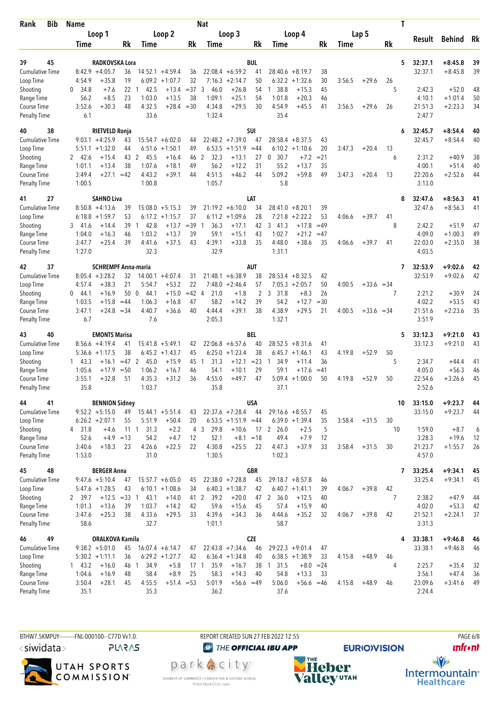| <b>Bib</b><br>Rank                  |  | <b>Name</b>      |                                                 |                       |                        |                                        |          | Nat                 |                                        |                  |                          |                                 |             | Τ      |              |                |                    |                        |          |  |
|-------------------------------------|--|------------------|-------------------------------------------------|-----------------------|------------------------|----------------------------------------|----------|---------------------|----------------------------------------|------------------|--------------------------|---------------------------------|-------------|--------|--------------|----------------|--------------------|------------------------|----------|--|
|                                     |  |                  | Loop 1                                          |                       |                        | Loop 2                                 |          |                     | Loop 3                                 |                  |                          | Loop 4                          |             |        | Lap 5        |                |                    |                        |          |  |
|                                     |  | Time             |                                                 | Rk                    | Time                   |                                        | Rk       | Time                |                                        | Rk               | Time                     |                                 | Rk          | Time   |              | Rk             | Result             | Behind                 | Rk       |  |
|                                     |  |                  |                                                 |                       |                        |                                        |          |                     |                                        |                  |                          |                                 |             |        |              |                |                    |                        |          |  |
| 45<br>39                            |  |                  | RADKOVSKA Lora                                  |                       |                        |                                        |          |                     |                                        | <b>BUL</b>       |                          |                                 |             |        |              | 5              | 32:37.1            | $+8:45.8$<br>$+8:45.8$ | 39       |  |
| <b>Cumulative Time</b><br>Loop Time |  | 4:54.9           | $8:42.9 +4:05.7$<br>$+35.8$                     | 36<br>19              |                        | $14:52.1 + 4:59.4$<br>$6:09.2 +1:07.7$ | 36<br>32 |                     | $22:08.4 + 6:59.2$<br>$7:16.3 +2:14.7$ | 41<br>50         | 6:32.2                   | $28:40.6 + 8:19.7$<br>$+1:32.6$ | 38<br>30    | 3:56.5 | $+29.6$      | 26             | 32:37.1            |                        | 39       |  |
| Shooting                            |  | 34.8<br>0        | $+7.6$                                          | 22                    | 42.5<br>-1             | $+13.4$                                | $= 37$   | 3<br>46.0           | $+26.8$                                | 54               | 1 38.8                   | $+15.3$                         | 45          |        |              | 5              | 2:42.3             | $+52.0$                | 48       |  |
| Range Time                          |  | 56.2             | $+8.5$                                          | 23                    | 1:03.0                 | $+13.5$                                | 38       | 1:09.1              | $+25.1$                                | 54               | 1:01.8                   | $+20.3$                         | 46          |        |              |                | 4:10.1             | $+1:01.4$              | 50       |  |
| Course Time                         |  | 3:52.6           | $+30.3$                                         | 48                    | 4:32.5                 | $+28.4 = 30$                           |          | 4:34.8              | $+29.5$                                | 30               | 4:54.9                   | $+45.5$                         | 41          | 3:56.5 | $+29.6$      | 26             | 21:51.3            | $+2:23.3$              | 34       |  |
| <b>Penalty Time</b>                 |  | 6.1              |                                                 |                       | 33.6                   |                                        |          | 1:32.4              |                                        |                  | 35.4                     |                                 |             |        |              |                | 2:47.7             |                        |          |  |
| 38<br>40                            |  |                  | <b>RIETVELD Ronja</b>                           |                       |                        |                                        |          |                     |                                        | <b>SUI</b>       |                          |                                 |             |        |              | 6              | 32:45.7            | $+8:54.4$              | 40       |  |
| <b>Cumulative Time</b>              |  |                  | $9:03.1 + 4:25.9$                               | 43                    |                        | $15:54.7 + 6:02.0$                     | 44       |                     | $22:48.2 +7:39.0$                      | 47               |                          | $28:58.4 + 8:37.5$              | 43          |        |              |                | 32:45.7            | $+8:54.4$              | 40       |  |
| Loop Time                           |  |                  | $5:51.1 + 1:32.0$                               | 44                    | 6:51.6                 | $+1:50.1$                              | 49       | 6:53.5              | $+1:51.9$                              | $=44$            |                          | $6:10.2 + 1:10.6$               | 20          | 3:47.3 | $+20.4$      | 13             |                    |                        |          |  |
| Shooting                            |  | 2 42.6           | $+15.4$                                         | 43                    | 2<br>45.5              | $+16.4$                                | 46 2     | 32.3                | $+13.1$                                | 27               | $\boldsymbol{0}$<br>30.7 | $+7.2$                          | $= 21$      |        |              | 6              | 2:31.2             | $+40.9$                | 38       |  |
| Range Time                          |  | 1:01.1           | $+13.4$                                         | 38                    | 1:07.6                 | $+18.1$                                | 49       | 56.2                | $+12.2$                                | 31               | 55.2                     | $+13.7$                         | 35          |        |              |                | 4:00.1             | $+51.4$                | 40       |  |
| Course Time                         |  | 3:49.4           | +27.1                                           | $=42$                 | 4:43.2                 | $+39.1$                                | 44       | 4:51.5              | $+46.2$                                | 44               | 5:09.2                   | $+59.8$                         | 49          | 3:47.3 | $+20.4$      | 13             | 22:20.6            | $+2:52.6$              | 44       |  |
| <b>Penalty Time</b>                 |  | 1:00.5           |                                                 |                       | 1:00.8                 |                                        |          | 1:05.7              |                                        |                  | 5.8                      |                                 |             |        |              |                | 3:13.0             |                        |          |  |
| 27<br>41                            |  |                  | <b>SAHNO Liva</b>                               |                       |                        |                                        |          |                     |                                        | LAT              |                          |                                 |             |        |              | 8              | 32:47.6            | $+8:56.3$              | 41       |  |
| <b>Cumulative Time</b>              |  |                  | $8:50.8 + 4:13.6$                               | 39                    |                        | $15:08.0 + 5:15.3$                     | 39       |                     | $21:19.2 + 6:10.0$                     | 34               | 28:41.0                  | $+8:20.1$                       | 39          |        |              |                | 32:47.6            | $+8:56.3$              | 41       |  |
| Loop Time                           |  |                  | $6:18.8 + 1:59.7$                               | 53                    | 6:17.2                 | $+1:15.7$                              | 37       | 6:11.2              | $+1:09.6$                              | 28               | 7:21.8                   | $+2:22.2$                       | 53          | 4:06.6 | $+39.7$      | 41             |                    |                        |          |  |
| Shooting                            |  | 3, 41.6          | $+14.4$                                         | 39                    | 42.8<br>-1             | $+13.7$                                | $=39$    | 36.3<br>-1          | $+17.1$                                | 42               | 3, 41.3                  | $+17.8$                         | $=49$       |        |              | 8              | 2:42.2             | $+51.9$                | 47       |  |
| Range Time<br>Course Time           |  | 1:04.0<br>3:47.7 | $+16.3$<br>$+25.4$                              | 46<br>39              | 1:03.2<br>4:41.6       | $+13.7$<br>$+37.5$                     | 39<br>43 | 59.1<br>4:39.1      | $+15.1$<br>$+33.8$                     | 43<br>35         | 1:02.7<br>4:48.0         | $+21.2$<br>$+38.6$              | $=47$<br>35 | 4:06.6 | $+39.7$      | 41             | 4:09.0<br>22:03.0  | $+1:00.3$<br>$+2:35.0$ | 49<br>38 |  |
| <b>Penalty Time</b>                 |  | 1:27.0           |                                                 |                       | 32.3                   |                                        |          | 32.9                |                                        |                  | 1:31.1                   |                                 |             |        |              |                | 4:03.5             |                        |          |  |
|                                     |  |                  |                                                 |                       |                        |                                        |          |                     |                                        |                  |                          |                                 |             |        |              |                |                    |                        |          |  |
| 37<br>42<br><b>Cumulative Time</b>  |  |                  | <b>SCHREMPF Anna-maria</b><br>$8:05.4 + 3:28.2$ | 32                    |                        | $14:00.1 + 4:07.4$                     |          |                     | $21:48.1 + 6:38.9$                     | AUT              |                          | $28:53.4 + 8:32.5$              | 42          |        |              | 7              | 32:53.9<br>32:53.9 | $+9:02.6$<br>$+9:02.6$ | 42<br>42 |  |
| Loop Time                           |  | 4:57.4           | $+38.3$                                         | 21                    | 5:54.7                 | $+53.2$                                | 31<br>22 | 7:48.0              | $+2:46.4$                              | 38<br>57         |                          | $7:05.3 + 2:05.7$               | 50          | 4:00.5 | $+33.6 = 34$ |                |                    |                        |          |  |
| Shooting                            |  | $0 \quad 44.1$   | $+16.9$                                         | 50                    | $\overline{0}$<br>44.1 | $+15.0$                                | $=42$ 4  | 21.0                | $+1.8$                                 | 2                | 31.8<br>3                | $+8.3$                          | 26          |        |              | 7              | 2:21.2             | $+30.9$                | 24       |  |
| Range Time                          |  | 1:03.5           | $+15.8$                                         | $=44$                 | 1:06.3                 | $+16.8$                                | 47       | 58.2                | $+14.2$                                | 39               | 54.2                     | $+12.7$                         | $=30$       |        |              |                | 4:02.2             | $+53.5$                | 43       |  |
| Course Time                         |  | 3:47.1           | $+24.8$                                         | $= 34$                | 4:40.7                 | $+36.6$                                | 40       | 4:44.4              | $+39.1$                                | 38               | 4:38.9                   | $+29.5$                         | 21          | 4:00.5 | $+33.6 = 34$ |                | 21:51.6            | $+2:23.6$              | 35       |  |
| <b>Penalty Time</b>                 |  | 6.7              |                                                 |                       | 7.6                    |                                        |          | 2:05.3              |                                        |                  | 1:32.1                   |                                 |             |        |              |                | 3:51.9             |                        |          |  |
| 40<br>43                            |  |                  | <b>EMONTS Marisa</b>                            |                       |                        |                                        |          |                     |                                        | BEL              |                          |                                 |             |        |              | 5              | 33:12.3            | $+9:21.0$              | 43       |  |
| <b>Cumulative Time</b>              |  |                  | $8:56.6 + 4:19.4$                               | 41                    | 15:41.8                | $+5:49.1$                              | 42       |                     | $22:06.8 + 6:57.6$                     | 40               | 28:52.5                  | $+8:31.6$                       | 41          |        |              |                | 33:12.3            | $+9:21.0$              | 43       |  |
| Loop Time                           |  |                  | $5:36.6 + 1:17.5$                               | 38                    |                        | $6:45.2 +1:43.7$                       | 45       | 6:25.0              | $+1:23.4$                              | 38               | 6:45.7                   | $+1:46.1$                       | 43          | 4:19.8 | $+52.9$      | 50             |                    |                        |          |  |
| Shooting                            |  | $1 \quad 43.3$   | $+16.1$                                         | $=47$ 2               | 45.0                   | $+15.9$                                | 45 1     | 31.3                | $+12.1$                                | $= 23$           | 34.9<br>1                | $+11.4$                         | 36          |        |              | 5              | 2:34.7             | $+44.4$                | 41       |  |
| Range Time                          |  | 1:05.6           | $+17.9$                                         | $=50$                 | 1:06.2                 | $+16.7$                                | 46       | 54.1                | $+10.1$                                | 29               | 59.1                     | $+17.6$                         | $=41$       |        |              |                | 4:05.0             | $+56.3$                | 46       |  |
| Course Time                         |  | 3:55.1           | $+32.8$                                         | 51                    | 4:35.3                 | $+31.2$                                | 36       | 4:55.0              | $+49.7$                                | 47               |                          | $5:09.4 +1:00.0$                | 50          | 4:19.8 | $+52.9$      | 50             | 22:54.6            | $+3:26.6$              | 45       |  |
| <b>Penalty Time</b>                 |  | 35.8             |                                                 |                       | 1:03.7                 |                                        |          | 35.8                |                                        |                  | 37.1                     |                                 |             |        |              |                | 2:52.6             |                        |          |  |
| 44<br>41                            |  |                  | <b>BENNION Sidney</b>                           |                       |                        |                                        |          |                     |                                        | <b>USA</b>       |                          |                                 |             |        |              | 10             | 33:15.0            | $+9:23.7$              | 44       |  |
| <b>Cumulative Time</b>              |  |                  | $9:52.2 + 5:15.0$                               | 49                    |                        | $15:44.1 + 5:51.4$                     | 43       |                     | $22:37.6$ +7:28.4                      | 44               |                          | $29:16.6 + 8:55.7$              | 45          |        |              |                | 33:15.0            | $+9:23.7$              | 44       |  |
| Loop Time                           |  |                  | $6:26.2 + 2:07.1$                               | 55                    | 5:51.9                 | $+50.4$                                | 20       |                     | $6:53.5 +1:51.9 = 44$                  |                  |                          | $6:39.0 +1:39.4$                | 35          | 3:58.4 | $+31.5$      | 30             |                    |                        |          |  |
| Shooting                            |  | 4 31.8<br>52.6   | $+4.6$<br>$+4.9$                                | $11 \quad 1$<br>$=13$ | 31.3<br>54.2           | $+2.2$<br>$+4.7$                       | 12       | 29.8<br>4 3<br>52.1 | $+10.6$<br>$+8.1$                      | $=18$            | 17 2 26.0<br>49.4        | $+2.5$<br>$+7.9$                | 5<br>12     |        |              | 10             | 1:59.0<br>3:28.3   | $+8.7$<br>$+19.6$      | 6<br>12  |  |
| Range Time<br>Course Time           |  | 3:40.6           | $+18.3$                                         | 23                    | 4:26.6                 | $+22.5$                                | 22       | 4:30.8              | $+25.5$                                | 22               | 4:47.3                   | $+37.9$                         | 33          | 3:58.4 | $+31.5$      | 30             | 21:23.7            | $+1:55.7$              | 26       |  |
| <b>Penalty Time</b>                 |  | 1:53.0           |                                                 |                       | 31.0                   |                                        |          | 1:30.5              |                                        |                  | 1:02.3                   |                                 |             |        |              |                | 4:57.0             |                        |          |  |
|                                     |  |                  |                                                 |                       |                        |                                        |          |                     |                                        |                  |                          |                                 |             |        |              |                |                    |                        |          |  |
| 48<br>45<br><b>Cumulative Time</b>  |  |                  | <b>BERGER Anna</b><br>$9:47.6 + 5:10.4$         | 47                    |                        | $15:57.7 + 6:05.0$                     | 45       |                     | $22:38.0 +7:28.8$                      | <b>GBR</b><br>45 |                          | $29:18.7 + 8:57.8$              | 46          |        |              | 7              | 33:25.4<br>33:25.4 | $+9:34.1$<br>$+9:34.1$ | 45<br>45 |  |
| Loop Time                           |  |                  | $5:47.6 + 1:28.5$                               | 43                    |                        | $6:10.1 + 1:08.6$                      | 34       |                     | $6:40.3 +1:38.7$                       | 42               |                          | $6:40.7 +1:41.1$                | 39          | 4:06.7 | $+39.8$      | 42             |                    |                        |          |  |
| Shooting                            |  | 2 39.7           | $+12.5 = 33$                                    |                       | 43.1<br>$\overline{1}$ | $+14.0$                                |          | 41 2<br>39.2        | $+20.0$                                | 47               | 2 36.0                   | $+12.5$                         | 40          |        |              | $\overline{7}$ | 2:38.2             | $+47.9$                | 44       |  |
| Range Time                          |  | 1:01.3           | $+13.6$                                         | 39                    | 1:03.7                 | $+14.2$                                | 42       | 59.6                | $+15.6$                                | 45               | 57.4                     | $+15.9$                         | 40          |        |              |                | 4:02.0             | $+53.3$                | 42       |  |
| Course Time                         |  | 3:47.6           | $+25.3$                                         | 38                    | 4:33.6                 | $+29.5$                                | 33       | 4:39.6              | $+34.3$                                | 36               | 4:44.6                   | $+35.2$                         | 32          | 4:06.7 | $+39.8$      | 42             | 21:52.1            | $+2:24.1$              | 37       |  |
| <b>Penalty Time</b>                 |  | 58.6             |                                                 |                       | 32.7                   |                                        |          | 1:01.1              |                                        |                  | 58.7                     |                                 |             |        |              |                | 3:31.3             |                        |          |  |
| 49<br>46                            |  |                  | <b>ORALKOVA Kamila</b>                          |                       |                        |                                        |          |                     |                                        | <b>CZE</b>       |                          |                                 |             |        |              | 4              | 33:38.1            | $+9:46.8$              | 46       |  |
| <b>Cumulative Time</b>              |  |                  | $9:38.2 + 5:01.0$                               | 45                    |                        | $16:07.4 + 6:14.7$                     | 47       |                     | $22:43.8 +7:34.6$                      | 46               |                          | $29:22.3 + 9:01.4$              | 47          |        |              |                | 33:38.1            | $+9:46.8$              | 46       |  |
| Loop Time                           |  |                  | $5:30.2 +1:11.1$                                | 36                    |                        | $6:29.2 + 1:27.7$                      | 42       |                     | $6:36.4 +1:34.8$                       | 40               |                          | $6:38.5 +1:38.9$                | 33          | 4:15.8 | $+48.9$      | 46             |                    |                        |          |  |
| Shooting                            |  | $1 \quad 43.2$   | $+16.0$                                         | 46 1                  | 34.9                   | $+5.8$                                 |          | 35.9<br>17 1        | $+16.7$                                | 38               | $1 \t31.5$               | $+8.0 = 24$                     |             |        |              | 4              | 2:25.7             | $+35.4$                | 32       |  |
| Range Time                          |  | 1:04.6           | $+16.9$                                         | 48                    | 58.4                   | $+8.9$                                 | 25       | 58.3                | $+14.3$                                | 40               | 54.8                     | $+13.3$                         | 33          |        |              |                | 3:56.1             | $+47.4$                | 36       |  |
| Course Time<br><b>Penalty Time</b>  |  | 3:50.4<br>35.1   | $+28.1$                                         | 45                    | 4:55.5<br>35.3         | $+51.4 = 53$                           |          | 5:01.9<br>36.2      | $+56.6 = 49$                           |                  | 5:06.0<br>37.6           | $+56.6 = 46$                    |             | 4:15.8 | $+48.9$      | 46             | 23:09.6<br>2:24.4  | $+3:41.6$              | 49       |  |
|                                     |  |                  |                                                 |                       |                        |                                        |          |                     |                                        |                  |                          |                                 |             |        |              |                |                    |                        |          |  |

BTHW7.5KMPUY---------FNL-000100-- C77D W1.0. REPORT CREATED SUN 27 FEB 2022 12:55 PAGE 6/8 <siwidata>

**PLARAS** 



**@** THE OFFICIAL IBU APP

park e city<sup>®</sup> CHAMBER OF COMMERCE | CONVENTION & VISITORS BUREAU<br>Visit Park City.com



**EURIO)VISION** 

**unfront**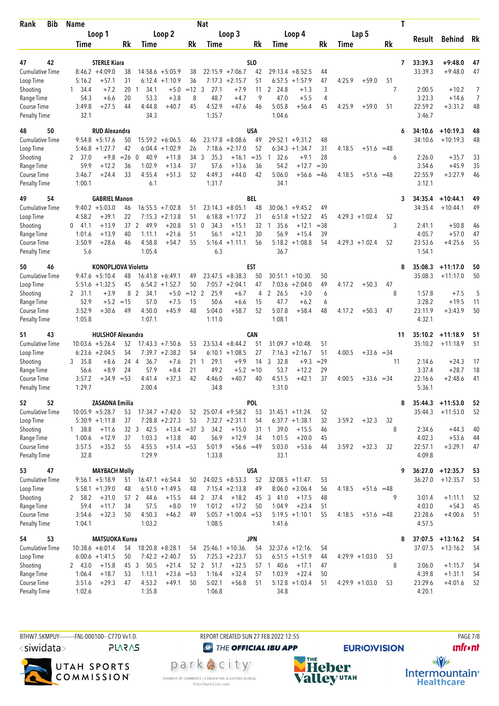| Bib<br>Rank                         | <b>Name</b>    |                              |          |                  |                                 |               | <b>Nat</b>             |                                       |                 |                            |                        |          |        |                  | Τ       |                   |                                  |            |
|-------------------------------------|----------------|------------------------------|----------|------------------|---------------------------------|---------------|------------------------|---------------------------------------|-----------------|----------------------------|------------------------|----------|--------|------------------|---------|-------------------|----------------------------------|------------|
|                                     |                | Loop 1                       |          |                  | Loop 2                          |               |                        | Loop 3                                |                 |                            | Loop 4                 |          |        | Lap 5            |         |                   | Behind Rk                        |            |
|                                     | Time           |                              | Rk       | Time             |                                 | Rk            | Time                   |                                       | Rk              | Time                       |                        | Rk       | Time   |                  | Rk      | Result            |                                  |            |
|                                     |                |                              |          |                  |                                 |               |                        |                                       |                 |                            |                        |          |        |                  |         |                   |                                  |            |
| 42<br>47                            |                | <b>STERLE Kiara</b>          |          |                  |                                 |               |                        |                                       | SL <sub>0</sub> | 29:13.4                    |                        |          |        |                  | 7       | 33:39.3           | $+9:48.0$                        | 47         |
| <b>Cumulative Time</b><br>Loop Time | 5:16.2         | $8:46.2 + 4:09.0$<br>$+57.1$ | 38<br>31 | 6:12.4           | $14:58.6 + 5:05.9$<br>$+1:10.9$ | 38<br>36      |                        | $22:15.9 +7:06.7$<br>$7:17.3 +2:15.7$ | 42<br>51        | 6:57.5                     | $+8:52.5$<br>$+1:57.9$ | 44<br>47 | 4:25.9 | $+59.0$          | 51      | 33:39.3           | $+9:48.0$                        | 47         |
| Shooting                            | 34.4<br>1.     | $+7.2$                       | 20       | 34.1<br>-1       | $+5.0$                          | $=12.3$       | 27.1                   | $+7.9$                                | 11              | 2 24.8                     | $+1.3$                 | 3        |        |                  | 7       | 2:00.5            | $+10.2$                          | 7          |
| Range Time                          | 54.3           | $+6.6$                       | 20       | 53.3             | $+3.8$                          | 8             | 48.7                   | $+4.7$                                | 9               | 47.0                       | $+5.5$                 | 4        |        |                  |         | 3:23.3            | $+14.6$                          | 7          |
| Course Time                         | 3:49.8         | $+27.5$                      | 44       | 4:44.8           | $+40.7$                         | 45            | 4:52.9                 | $+47.6$                               | 46              | 5:05.8                     | $+56.4$                | 45       | 4:25.9 | $+59.0$          | 51      | 22:59.2           | $+3:31.2$                        | 48         |
| <b>Penalty Time</b>                 | 32.1           |                              |          | 34.3             |                                 |               | 1:35.7                 |                                       |                 | 1:04.6                     |                        |          |        |                  |         | 3:46.7            |                                  |            |
| 50<br>48                            |                | <b>RUD Alexandra</b>         |          |                  |                                 |               |                        |                                       | USA             |                            |                        |          |        |                  | 6       | 34:10.6           | $+10:19.3$                       | 48         |
| <b>Cumulative Time</b>              |                | $9:54.8 + 5:17.6$            | 50       |                  | $15:59.2 + 6:06.5$              | 46            |                        | $23:17.8 + 8:08.6$                    | 49              | $29:52.1 + 9:31.2$         |                        | 48       |        |                  |         | 34:10.6           | $+10:19.3$                       | 48         |
| Loop Time                           |                | $5:46.8 + 1:27.7$            | 42       |                  | $6:04.4 +1:02.9$                | 26            | 7:18.6                 | $+2:17.0$                             | 52              | $6:34.3 +1:34.7$           |                        | 31       | 4:18.5 | $+51.6 = 48$     |         |                   |                                  |            |
| Shooting                            | 2, 37.0        | $+9.8$                       | $=26$    | $\Omega$<br>40.9 | $+11.8$                         | 34            | 3<br>35.3              | $+16.1$                               | $= 35$          | 32.6<br>$\mathbf{1}$       | $+9.1$                 | 28       |        |                  | 6       | 2:26.0            | $+35.7$                          | 33         |
| Range Time                          | 59.9           | $+12.2$                      | 36       | 1:02.9           | $+13.4$                         | 37            | 57.6                   | $+13.6$                               | 36              | 54.2                       | $+12.7$                | $=30$    |        |                  |         | 3:54.6            | $+45.9$                          | 35         |
| Course Time                         | 3:46.7         | $+24.4$                      | 33       | 4:55.4           | $+51.3$                         | 52            | 4:49.3                 | $+44.0$                               | 42              | 5:06.0                     | $+56.6$                | $=46$    | 4:18.5 | $+51.6 = 48$     |         | 22:55.9           | $+3:27.9$                        | 46         |
| <b>Penalty Time</b>                 | 1:00.1         |                              |          | 6.1              |                                 |               | 1:31.7                 |                                       |                 | 34.1                       |                        |          |        |                  |         | 3:12.1            |                                  |            |
| 54<br>49                            |                | <b>GABRIEL Manon</b>         |          |                  |                                 |               |                        |                                       | BEL             |                            |                        |          |        |                  | 3       | 34:35.4           | $+10:44.1$                       | 49         |
| <b>Cumulative Time</b>              |                | $9:40.2 + 5:03.0$            | 46       | 16:55.5          | $+7:02.8$                       | 51            |                        | $23:14.3 + 8:05.1$                    | 48              | 30:06.1                    | $+9:45.2$              | 49       |        |                  |         | 34:35.4           | $+10:44.1$                       | 49         |
| Loop Time                           | 4:58.2         | $+39.1$                      | 22       | 7:15.3           | $+2:13.8$                       | 51            | 6:18.8                 | $+1:17.2$                             | 31              | 6:51.8                     | $+1:52.2$              | 45       |        | $4:29.3 +1:02.4$ | 52      |                   |                                  |            |
| Shooting                            | $0$ 41.1       | $+13.9$                      | 37 2     | 49.9             | $+20.8$                         | 51            | 34.3<br>0              | $+15.1$                               | 32              | 35.6<br>1                  | $+12.1$                | $= 38$   |        |                  | 3       | 2:41.1            | $+50.8$                          | 46         |
| Range Time                          | 1:01.6         | $+13.9$                      | 40       | 1:11.1           | $+21.6$                         | 51            | 56.1                   | $+12.1$                               | 30              | 56.9                       | $+15.4$                | 39       |        |                  |         | 4:05.7            | $+57.0$                          | 47         |
| Course Time<br><b>Penalty Time</b>  | 3:50.9<br>5.6  | $+28.6$                      | 46       | 4:58.8<br>1:05.4 | $+54.7$                         | 55            | 5:16.4<br>6.3          | $+1:11.1$                             | 56              | 36.7                       | $5:18.2 + 1:08.8$      | 54       |        | $4:29.3 +1:02.4$ | 52      | 23:53.6<br>1:54.1 | $+4:25.6$                        | 55         |
|                                     |                |                              |          |                  |                                 |               |                        |                                       |                 |                            |                        |          |        |                  |         |                   |                                  |            |
| 46<br>50                            |                | <b>KONOPLJOVA Violetta</b>   |          |                  |                                 |               |                        |                                       | EST             |                            |                        |          |        |                  | 8       | 35:08.3           | $+11:17.0$                       | 50         |
| <b>Cumulative Time</b>              |                | $9:47.6 + 5:10.4$            | 48       |                  | $16:41.8 + 6:49.1$              | 49            |                        | $23:47.5 + 8:38.3$                    | 50              | $30:51.1 + 10:30$          |                        | 50       |        |                  |         | 35:08.3           | $+11:17.0$                       | 50         |
| Loop Time                           |                | $5:51.6 + 1:32.5$<br>$+3.9$  | 45<br>8  | 2<br>34.1        | $6:54.2 +1:52.7$<br>$+5.0$      | 50<br>$=12$ 2 | 25.9                   | $7:05.7 +2:04.1$<br>$+6.7$            | 47<br>4         | 7:03.6<br>2 26.5           | $+2:04.0$<br>$+3.0$    | 49<br>6  | 4:17.2 | $+50.3$          | 47<br>8 | 1:57.8            | $+7.5$                           | 5          |
| Shooting<br>Range Time              | 2 31.1<br>52.9 | $+5.2$                       | $=15$    | 57.0             | $+7.5$                          | 15            | 50.6                   | $+6.6$                                | 15              | 47.7                       | $+6.2$                 | 6        |        |                  |         | 3:28.2            | $+19.5$                          | 11         |
| Course Time                         | 3:52.9         | $+30.6$                      | 49       | 4:50.0           | $+45.9$                         | 48            | 5:04.0                 | $+58.7$                               | 52              | 5:07.8                     | $+58.4$                | 48       | 4:17.2 | $+50.3$          | 47      | 23:11.9           | $+3:43.9$                        | 50         |
| <b>Penalty Time</b>                 | 1:05.8         |                              |          | 1:07.1           |                                 |               | 1:11.0                 |                                       |                 | 1:08.1                     |                        |          |        |                  |         | 4:32.1            |                                  |            |
| 43<br>51                            |                | <b>HULSHOF Alexandra</b>     |          |                  |                                 |               |                        |                                       | <b>CAN</b>      |                            |                        |          |        |                  | 11      | 35:10.2           | $+11:18.9$                       | 51         |
| <b>Cumulative Time</b>              |                | $10:03.6 + 5:26.4$           | 52       |                  | $17:43.3 + 7:50.6$              | 53            |                        | $23:53.4 + 8:44.2$                    | 51              | 31:09.7                    | $+10:48$               | 51       |        |                  |         | 35:10.2           | $+11:18.9$                       | 51         |
| Loop Time                           |                | $6:23.6 + 2:04.5$            | 54       |                  | $7:39.7 +2:38.2$                | 54            |                        | $6:10.1 + 1:08.5$                     | 27              | $7:16.3 +2:16.7$           |                        | 51       | 4:00.5 | $+33.6 = 34$     |         |                   |                                  |            |
| Shooting                            | 3, 35.8        | $+8.6$                       | 24 4     | 36.7             | $+7.6$                          | 21            | $\mathbf{1}$<br>29.1   | $+9.9$                                | 14              | 3<br>32.8                  | $+9.3$                 | $= 29$   |        |                  | 11      | 2:14.6            | $+24.3$                          | 17         |
| Range Time                          | 56.6           | $+8.9$                       | 24       | 57.9             | $+8.4$                          | 21            | 49.2                   | $+5.2$                                | $=10$           | 53.7                       | $+12.2$                | 29       |        |                  |         | 3:37.4            | $+28.7$                          | 18         |
| Course Time                         | 3:57.2         | +34.9                        | $= 53$   | 4:41.4           | $+37.3$                         | 42            | 4:46.0                 | $+40.7$                               | 40              | 4:51.5                     | $+42.1$                | 37       | 4:00.5 | $+33.6 = 34$     |         | 22:16.6           | $+2:48.6$                        | 41         |
| <b>Penalty Time</b>                 | 1:29.7         |                              |          | 2:00.4           |                                 |               | 34.8                   |                                       |                 | 1:31.0                     |                        |          |        |                  |         | 5:36.1            |                                  |            |
| 52<br>52                            |                | <b>ZASADNA Emilia</b>        |          |                  |                                 |               |                        |                                       | POL             |                            |                        |          |        |                  | 8       |                   | $35:44.3$ +11:53.0               | 52         |
| Cumulative Time                     |                | $10:05.9 + 5:28.7$           | 53       |                  | $17:34.7 + 7:42.0$              | 52            |                        | $25:07.4 +9:58.2$                     | 53              | $31:45.1 + 11:24$ .        |                        | 52       |        |                  |         | 35:44.3           | $+11:53.0$                       | 52         |
| Loop Time                           |                | $5:30.9 +1:11.8$             | 37       |                  | $7:28.8 + 2:27.3$               | 53            |                        | $7:32.7 +2:31.1$                      | 54              | $6:37.7 +1:38.1$           |                        | 32       | 3:59.2 | $+32.3$          | 32      |                   |                                  |            |
| Shooting                            | 1 38.8         | $+11.6$                      |          | 32 3 42.5        | $+13.4 = 37.3$                  |               | 34.2                   | $+15.0$                               | 31              | 1 39.0                     | $+15.5$                | 46       |        |                  | 8       | 2:34.6            | $+44.3$                          | 40         |
| Range Time                          | 1:00.6         | $+12.9$                      | 37       | 1:03.3           | $+13.8$                         | 40            | 56.9                   | $+12.9$                               | 34              | 1:01.5                     | $+20.0$                | 45       |        |                  |         | 4:02.3            | $+53.6$                          | 44         |
| Course Time                         | 3:57.5         | $+35.2$                      | 55       | 4:55.5           | $+51.4 = 53$                    |               | 5:01.9                 | $+56.6 = 49$                          |                 | 5:03.0                     | $+53.6$                | 44       | 3:59.2 | $+32.3$          | 32      | 22:57.1           | $+3:29.1$                        | 47         |
| <b>Penalty Time</b>                 | 32.8           |                              |          | 1:29.9           |                                 |               | 1:33.8                 |                                       |                 | 33.1                       |                        |          |        |                  |         | 4:09.8            |                                  |            |
| 47<br>53                            |                | <b>MAYBACH Molly</b>         |          |                  |                                 |               |                        |                                       | <b>USA</b>      |                            |                        |          |        |                  | 9       |                   | $36:27.0 + 12:35.7$              | 53         |
| <b>Cumulative Time</b>              |                | $9:56.1 + 5:18.9$            | 51       |                  | $16:47.1 + 6:54.4$              | 50            |                        | $24:02.5 + 8:53.3$                    | 52              | $32:08.5 +11:47$ .         |                        | 53       |        |                  |         | 36:27.0           | $+12:35.7$                       | 53         |
| Loop Time                           |                | $5:58.1 + 1:39.0$            | 48       |                  | $6:51.0 + 1:49.5$               | 48            |                        | $7:15.4 +2:13.8$                      | 49              |                            | $8:06.0 + 3:06.4$      | 56       | 4:18.5 | $+51.6 = 48$     |         |                   |                                  |            |
| Shooting                            | 2 58.2         | $+31.0$                      |          | 57 2<br>-44.6    | $+15.5$                         | 44            | $\overline{2}$<br>37.4 | $+18.2$                               | 45              | 341.0                      | $+17.5$                | 48       |        |                  | 9       | 3:01.4            | $+1:11.1$                        | 52         |
| Range Time<br>Course Time           | 59.4<br>3:54.6 | $+11.7$<br>$+32.3$           | 34<br>50 | 57.5<br>4:50.3   | $+8.0$<br>$+46.2$               | 19<br>49      | 1:01.2                 | $+17.2$<br>$5:05.7 +1:00.4 = 53$      | 50              | 1:04.9<br>$5:19.5 +1:10.1$ | $+23.4$                | 51<br>55 | 4:18.5 | $+51.6 = 48$     |         | 4:03.0<br>23:28.6 | $+54.3$<br>$+4:00.6$             | 45<br>51   |
| <b>Penalty Time</b>                 | 1:04.1         |                              |          | 1:03.2           |                                 |               | 1:08.5                 |                                       |                 | 1:41.6                     |                        |          |        |                  |         | 4:57.5            |                                  |            |
| 53                                  |                | <b>MATSUOKA Kurea</b>        |          |                  |                                 |               |                        |                                       | <b>JPN</b>      |                            |                        |          |        |                  |         |                   |                                  |            |
| 54<br><b>Cumulative Time</b>        |                | $10:38.6 + 6:01.4$           | 54       |                  | $18:20.8 + 8:28.1$              | 54            |                        | $25:46.1 + 10:36$ .                   | 54              | $32:37.6 + 12:16.$         |                        | 54       |        |                  | 8       | 37:07.5           | $37:07.5$ +13:16.2<br>$+13:16.2$ | - 54<br>54 |
| Loop Time                           |                | $6:00.6 + 1:41.5$            | 50       |                  | $7:42.2 + 2:40.7$               | 55            |                        | $7:25.3 +2:23.7$                      | 53              |                            | $6:51.5 + 1:51.9$      | 44       |        | $4:29.9 +1:03.0$ | 53      |                   |                                  |            |
| Shooting                            | 2, 43.0        | $+15.8$                      |          | 45 3<br>- 50.5   | $+21.4$                         |               | 52 2<br>51.7           | $+32.5$                               |                 | 57 1 40.6                  | $+17.1$                | 47       |        |                  | 8       | 3:06.0            | $+1:15.7$                        | 54         |
| Range Time                          | 1:06.4         | $+18.7$                      | 53       | 1:13.1           | $+23.6 = 53$                    |               | 1:16.4                 | $+32.4$                               | 57              | 1:03.9                     | $+22.4$                | 50       |        |                  |         | 4:39.8            | $+1:31.1$                        | 54         |
| Course Time                         | 3:51.6         | $+29.3$                      | 47       | 4:53.2           | $+49.1$                         | 50            | 5:02.1                 | $+56.8$                               | 51              |                            | $5:12.8 + 1:03.4$      | 51       |        | $4:29.9 +1:03.0$ | 53      | 23:29.6           | $+4:01.6$                        | 52         |
| <b>Penalty Time</b>                 | 1:02.6         |                              |          | 1:35.8           |                                 |               | 1:06.8                 |                                       |                 | 34.8                       |                        |          |        |                  |         | 4:20.1            |                                  |            |
|                                     |                |                              |          |                  |                                 |               |                        |                                       |                 |                            |                        |          |        |                  |         |                   |                                  |            |

BTHW7.5KMPUY---------FNL-000100-- C77D W1.0. REPORT CREATED SUN 27 FEB 2022 12:55 PAGE 7/8 <siwidata>

**PLARAS** 

UTAH SPORTS<br>COMMISSION®

**@** THE OFFICIAL IBU APP

park e city<sup>®</sup> CHAMBER OF COMMERCE | CONVENTION & VISITORS BUREAU<br>Visit Park City.com



**EURIO)VISION** 

**unfront**